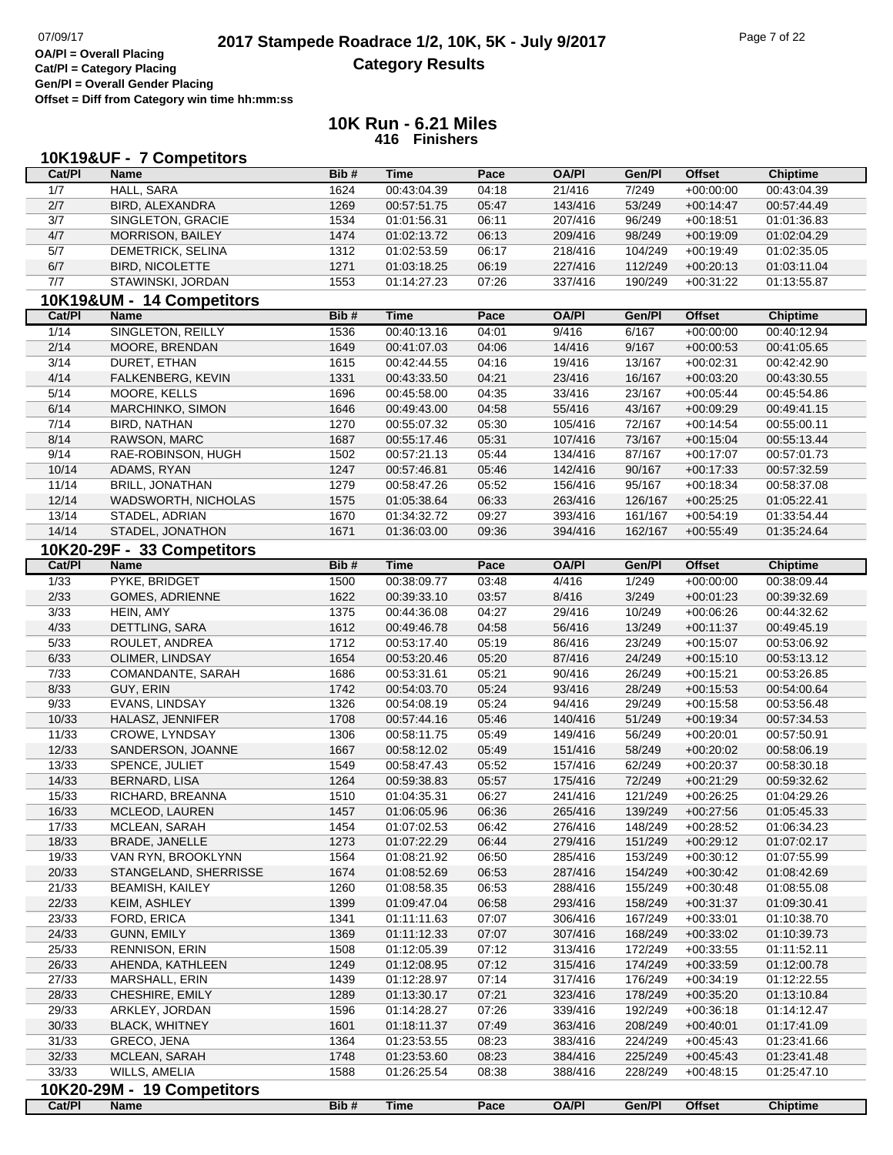**Cat/Pl = Category Placing Gen/Pl = Overall Gender Placing Offset = Diff from Category win time hh:mm:ss**

|        | 10K19&UF - 7 Competitors   |      |             |       |              |         |               |                 |
|--------|----------------------------|------|-------------|-------|--------------|---------|---------------|-----------------|
| Cat/PI | <b>Name</b>                | Bib# | <b>Time</b> | Pace  | <b>OA/PI</b> | Gen/Pl  | <b>Offset</b> | <b>Chiptime</b> |
| 1/7    | HALL, SARA                 | 1624 | 00:43:04.39 | 04:18 | 21/416       | 7/249   | $+00:00:00$   | 00:43:04.39     |
| 2/7    | BIRD, ALEXANDRA            | 1269 | 00:57:51.75 | 05:47 | 143/416      | 53/249  | $+00:14:47$   | 00:57:44.49     |
| 3/7    | SINGLETON, GRACIE          | 1534 | 01:01:56.31 | 06:11 | 207/416      | 96/249  | $+00:18:51$   | 01:01:36.83     |
| 4/7    | MORRISON, BAILEY           | 1474 | 01:02:13.72 | 06:13 | 209/416      | 98/249  | $+00:19:09$   | 01:02:04.29     |
| 5/7    | DEMETRICK, SELINA          | 1312 | 01:02:53.59 | 06:17 | 218/416      | 104/249 | $+00:19:49$   | 01:02:35.05     |
| 6/7    | <b>BIRD, NICOLETTE</b>     | 1271 | 01:03:18.25 | 06:19 | 227/416      | 112/249 | $+00:20:13$   | 01:03:11.04     |
| 7/7    | STAWINSKI, JORDAN          | 1553 | 01:14:27.23 | 07:26 | 337/416      | 190/249 | $+00:31:22$   | 01:13:55.87     |
|        | 10K19&UM - 14 Competitors  |      |             |       |              |         |               |                 |
| Cat/PI | <b>Name</b>                | Bib# | <b>Time</b> | Pace  | <b>OA/PI</b> | Gen/Pl  | <b>Offset</b> | Chiptime        |
| 1/14   | <b>SINGLETON, REILLY</b>   | 1536 | 00:40:13.16 | 04:01 | 9/416        | 6/167   | $+00:00:00$   | 00:40:12.94     |
| 2/14   | MOORE, BRENDAN             | 1649 | 00:41:07.03 | 04:06 | 14/416       | 9/167   | $+00:00:53$   | 00:41:05.65     |
| 3/14   | DURET, ETHAN               | 1615 | 00:42:44.55 | 04:16 | 19/416       | 13/167  | $+00:02:31$   | 00:42:42.90     |
| 4/14   | FALKENBERG, KEVIN          | 1331 | 00:43:33.50 | 04:21 | 23/416       | 16/167  | $+00:03:20$   | 00:43:30.55     |
| 5/14   | MOORE, KELLS               | 1696 | 00:45:58.00 | 04:35 | 33/416       | 23/167  | $+00:05:44$   | 00:45:54.86     |
| 6/14   | MARCHINKO, SIMON           | 1646 | 00:49:43.00 | 04:58 | 55/416       | 43/167  | $+00:09:29$   | 00:49:41.15     |
| 7/14   | BIRD, NATHAN               | 1270 | 00:55:07.32 | 05:30 | 105/416      | 72/167  | $+00:14:54$   | 00:55:00.11     |
| 8/14   | RAWSON, MARC               | 1687 | 00:55:17.46 | 05:31 | 107/416      | 73/167  | $+00:15:04$   | 00:55:13.44     |
| 9/14   | RAE-ROBINSON, HUGH         | 1502 | 00:57:21.13 | 05:44 | 134/416      | 87/167  | $+00:17:07$   | 00:57:01.73     |
| 10/14  | ADAMS, RYAN                | 1247 | 00:57:46.81 | 05:46 | 142/416      | 90/167  | $+00:17:33$   | 00:57:32.59     |
| 11/14  | <b>BRILL, JONATHAN</b>     | 1279 | 00:58:47.26 | 05:52 | 156/416      | 95/167  | $+00:18:34$   | 00:58:37.08     |
| 12/14  | <b>WADSWORTH, NICHOLAS</b> | 1575 | 01:05:38.64 | 06:33 | 263/416      | 126/167 | $+00:25:25$   | 01:05:22.41     |
| 13/14  | STADEL, ADRIAN             | 1670 | 01:34:32.72 | 09:27 | 393/416      | 161/167 | $+00:54:19$   | 01:33:54.44     |
| 14/14  | STADEL, JONATHON           | 1671 | 01:36:03.00 | 09:36 | 394/416      | 162/167 | $+00:55:49$   | 01:35:24.64     |
|        | 10K20-29F - 33 Competitors |      |             |       |              |         |               |                 |
| Cat/Pl | <b>Name</b>                | Bib# | <b>Time</b> | Pace  | <b>OA/PI</b> | Gen/Pl  | <b>Offset</b> | Chiptime        |
| 1/33   | PYKE, BRIDGET              | 1500 | 00:38:09.77 | 03:48 | 4/416        | 1/249   | $+00:00:00$   | 00:38:09.44     |
| 2/33   | <b>GOMES, ADRIENNE</b>     | 1622 | 00:39:33.10 | 03:57 | 8/416        | 3/249   | $+00:01:23$   | 00:39:32.69     |
| 3/33   | HEIN, AMY                  | 1375 | 00:44:36.08 | 04:27 | 29/416       | 10/249  | $+00:06:26$   | 00:44:32.62     |
| 4/33   | DETTLING, SARA             | 1612 | 00:49:46.78 | 04:58 | 56/416       | 13/249  | $+00:11:37$   | 00:49:45.19     |
| 5/33   | ROULET, ANDREA             | 1712 | 00:53:17.40 | 05:19 | 86/416       | 23/249  | $+00:15:07$   | 00:53:06.92     |
| 6/33   | OLIMER, LINDSAY            | 1654 | 00:53:20.46 | 05:20 | 87/416       | 24/249  | $+00:15:10$   | 00:53:13.12     |
| 7/33   | COMANDANTE, SARAH          | 1686 | 00:53:31.61 | 05:21 | 90/416       | 26/249  | $+00:15:21$   | 00:53:26.85     |
| 8/33   | GUY, ERIN                  | 1742 | 00:54:03.70 | 05:24 | 93/416       | 28/249  | $+00:15:53$   | 00:54:00.64     |
| 9/33   | <b>EVANS, LINDSAY</b>      | 1326 | 00:54:08.19 | 05:24 | 94/416       | 29/249  | $+00:15:58$   | 00:53:56.48     |
| 10/33  | HALASZ, JENNIFER           | 1708 | 00:57:44.16 | 05:46 | 140/416      | 51/249  | $+00:19:34$   | 00:57:34.53     |
| 11/33  | CROWE, LYNDSAY             | 1306 | 00:58:11.75 | 05:49 | 149/416      | 56/249  | $+00:20:01$   | 00:57:50.91     |
| 12/33  | SANDERSON, JOANNE          | 1667 | 00:58:12.02 | 05:49 | 151/416      | 58/249  | $+00:20:02$   | 00:58:06.19     |
| 13/33  | SPENCE, JULIET             | 1549 | 00:58:47.43 | 05:52 | 157/416      | 62/249  | $+00:20:37$   | 00:58:30.18     |
| 14/33  | <b>BERNARD, LISA</b>       | 1264 | 00:59:38.83 | 05:57 | 175/416      | 72/249  | $+00:21:29$   | 00:59:32.62     |
| 15/33  | RICHARD, BREANNA           | 1510 | 01:04:35.31 | 06:27 | 241/416      | 121/249 | $+00:26:25$   | 01:04:29.26     |
| 16/33  | MCLEOD, LAUREN             | 1457 | 01:06:05.96 | 06:36 | 265/416      | 139/249 | $+00:27:56$   | 01:05:45.33     |
| 17/33  | MCLEAN, SARAH              | 1454 | 01:07:02.53 | 06:42 | 276/416      | 148/249 | $+00:28:52$   | 01:06:34.23     |
| 18/33  | <b>BRADE, JANELLE</b>      | 1273 | 01:07:22.29 | 06:44 | 279/416      | 151/249 | $+00:29:12$   | 01:07:02.17     |
| 19/33  | VAN RYN, BROOKLYNN         | 1564 | 01:08:21.92 | 06:50 | 285/416      | 153/249 | $+00:30:12$   | 01:07:55.99     |
| 20/33  | STANGELAND, SHERRISSE      | 1674 | 01:08:52.69 | 06:53 | 287/416      | 154/249 | $+00:30:42$   | 01:08:42.69     |
| 21/33  | <b>BEAMISH, KAILEY</b>     | 1260 | 01:08:58.35 | 06:53 | 288/416      | 155/249 | $+00:30:48$   | 01:08:55.08     |
| 22/33  | KEIM, ASHLEY               | 1399 | 01:09:47.04 | 06:58 | 293/416      | 158/249 | $+00:31:37$   | 01:09:30.41     |
| 23/33  | FORD, ERICA                | 1341 | 01:11:11.63 | 07:07 | 306/416      | 167/249 | $+00:33:01$   | 01:10:38.70     |
| 24/33  | GUNN, EMILY                | 1369 | 01:11:12.33 | 07:07 | 307/416      | 168/249 | $+00:33:02$   | 01:10:39.73     |
| 25/33  | <b>RENNISON, ERIN</b>      | 1508 | 01:12:05.39 | 07:12 | 313/416      | 172/249 | $+00:33:55$   | 01:11:52.11     |
| 26/33  | AHENDA, KATHLEEN           | 1249 | 01:12:08.95 | 07:12 | 315/416      | 174/249 | $+00:33:59$   | 01:12:00.78     |
| 27/33  | MARSHALL, ERIN             | 1439 | 01:12:28.97 | 07:14 | 317/416      | 176/249 | $+00:34:19$   | 01:12:22.55     |
| 28/33  | CHESHIRE, EMILY            | 1289 | 01:13:30.17 | 07:21 | 323/416      | 178/249 | $+00:35:20$   | 01:13:10.84     |
| 29/33  | ARKLEY, JORDAN             | 1596 | 01:14:28.27 | 07:26 | 339/416      | 192/249 | $+00:36:18$   | 01:14:12.47     |
| 30/33  | <b>BLACK, WHITNEY</b>      | 1601 | 01:18:11.37 | 07:49 | 363/416      | 208/249 | $+00:40:01$   | 01:17:41.09     |
| 31/33  | GRECO, JENA                | 1364 | 01:23:53.55 | 08:23 | 383/416      | 224/249 | $+00:45:43$   | 01:23:41.66     |
| 32/33  | MCLEAN, SARAH              | 1748 | 01:23:53.60 | 08:23 | 384/416      | 225/249 | $+00:45:43$   | 01:23:41.48     |
| 33/33  | WILLS, AMELIA              | 1588 | 01:26:25.54 | 08:38 | 388/416      | 228/249 | $+00:48:15$   | 01:25:47.10     |
|        | 10K20-29M - 19 Competitors |      |             |       |              |         |               |                 |
| Cat/PI | Name                       | Bib# | <b>Time</b> | Pace  | <b>OA/PI</b> | Gen/Pl  | <b>Offset</b> | <b>Chiptime</b> |
|        |                            |      |             |       |              |         |               |                 |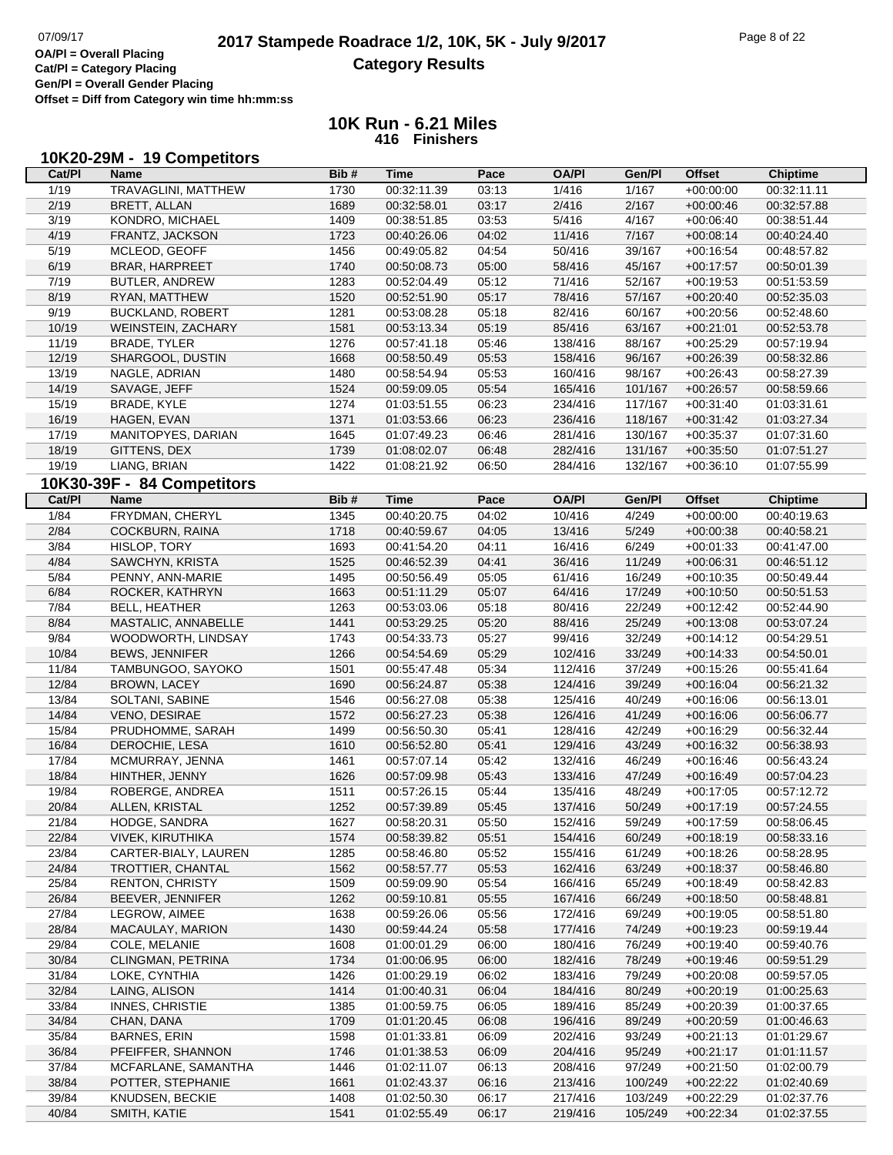# **2017 Stampede Roadrace 1/2, 10K, 5K - July 9/2017** Page 8 of 22<br> **2017 Stampede Roadrace 1/2, 10K, 5K - July 9/2017 Category Results**

**Cat/Pl = Category Placing Gen/Pl = Overall Gender Placing**

**Offset = Diff from Category win time hh:mm:ss**

| Cat/PI | 10K20-29M - 19 Competitors<br><b>Name</b> | Bib# | <b>Time</b> | Pace  | <b>OA/PI</b> | Gen/Pl  | <b>Offset</b> | <b>Chiptime</b> |
|--------|-------------------------------------------|------|-------------|-------|--------------|---------|---------------|-----------------|
| 1/19   | <b>TRAVAGLINI, MATTHEW</b>                | 1730 | 00:32:11.39 | 03:13 | 1/416        | 1/167   | $+00:00:00$   | 00:32:11.11     |
| 2/19   | BRETT, ALLAN                              | 1689 | 00:32:58.01 | 03:17 | 2/416        | 2/167   | $+00:00:46$   | 00:32:57.88     |
| 3/19   | KONDRO, MICHAEL                           | 1409 | 00:38:51.85 | 03:53 | 5/416        | 4/167   | $+00:06:40$   | 00:38:51.44     |
| 4/19   | FRANTZ, JACKSON                           | 1723 | 00:40:26.06 | 04:02 | 11/416       | 7/167   | $+00:08:14$   | 00:40:24.40     |
|        |                                           |      | 00:49:05.82 |       |              |         |               |                 |
| 5/19   | MCLEOD, GEOFF                             | 1456 |             | 04:54 | 50/416       | 39/167  | $+00:16:54$   | 00:48:57.82     |
| 6/19   | <b>BRAR, HARPREET</b>                     | 1740 | 00:50:08.73 | 05:00 | 58/416       | 45/167  | $+00:17:57$   | 00:50:01.39     |
| 7/19   | <b>BUTLER, ANDREW</b>                     | 1283 | 00:52:04.49 | 05:12 | 71/416       | 52/167  | $+00:19:53$   | 00:51:53.59     |
| 8/19   | RYAN, MATTHEW                             | 1520 | 00:52:51.90 | 05:17 | 78/416       | 57/167  | $+00:20:40$   | 00:52:35.03     |
| 9/19   | <b>BUCKLAND, ROBERT</b>                   | 1281 | 00:53:08.28 | 05:18 | 82/416       | 60/167  | $+00:20:56$   | 00:52:48.60     |
| 10/19  | <b>WEINSTEIN, ZACHARY</b>                 | 1581 | 00:53:13.34 | 05:19 | 85/416       | 63/167  | $+00:21:01$   | 00:52:53.78     |
| 11/19  | <b>BRADE, TYLER</b>                       | 1276 | 00:57:41.18 | 05:46 | 138/416      | 88/167  | $+00:25:29$   | 00:57:19.94     |
| 12/19  | SHARGOOL, DUSTIN                          | 1668 | 00:58:50.49 | 05:53 | 158/416      | 96/167  | $+00:26:39$   | 00:58:32.86     |
| 13/19  | NAGLE, ADRIAN                             | 1480 | 00:58:54.94 | 05:53 | 160/416      | 98/167  | $+00:26:43$   | 00:58:27.39     |
| 14/19  | SAVAGE, JEFF                              | 1524 | 00:59:09.05 | 05:54 | 165/416      | 101/167 | $+00:26:57$   | 00:58:59.66     |
| 15/19  | BRADE, KYLE                               | 1274 | 01:03:51.55 | 06:23 | 234/416      | 117/167 | $+00:31:40$   | 01:03:31.61     |
| 16/19  | HAGEN, EVAN                               | 1371 | 01:03:53.66 | 06:23 | 236/416      | 118/167 | $+00:31:42$   | 01:03:27.34     |
| 17/19  | MANITOPYES, DARIAN                        | 1645 | 01:07:49.23 | 06:46 | 281/416      | 130/167 | $+00:35:37$   | 01:07:31.60     |
|        |                                           |      |             |       |              |         |               |                 |
| 18/19  | GITTENS, DEX                              | 1739 | 01:08:02.07 | 06:48 | 282/416      | 131/167 | $+00:35:50$   | 01:07:51.27     |
| 19/19  | LIANG, BRIAN                              | 1422 | 01:08:21.92 | 06:50 | 284/416      | 132/167 | $+00:36:10$   | 01:07:55.99     |
|        | 10K30-39F - 84 Competitors                |      |             |       |              |         |               |                 |
| Cat/PI | <b>Name</b>                               | Bib# | <b>Time</b> | Pace  | <b>OA/PI</b> | Gen/Pl  | <b>Offset</b> | <b>Chiptime</b> |
| 1/84   | FRYDMAN, CHERYL                           | 1345 | 00:40:20.75 | 04:02 | 10/416       | 4/249   | $+00:00:00$   | 00:40:19.63     |
| 2/84   | COCKBURN, RAINA                           | 1718 | 00:40:59.67 | 04:05 | 13/416       | 5/249   | $+00:00:38$   | 00:40:58.21     |
| 3/84   | HISLOP, TORY                              | 1693 | 00:41:54.20 | 04:11 | 16/416       | 6/249   | $+00:01:33$   | 00:41:47.00     |
| 4/84   | SAWCHYN, KRISTA                           | 1525 | 00:46:52.39 | 04:41 | 36/416       | 11/249  | $+00:06:31$   | 00:46:51.12     |
| 5/84   | PENNY, ANN-MARIE                          | 1495 | 00:50:56.49 | 05:05 | 61/416       | 16/249  | $+00:10:35$   | 00:50:49.44     |
| 6/84   | ROCKER, KATHRYN                           | 1663 | 00:51:11.29 | 05:07 | 64/416       | 17/249  | $+00:10:50$   | 00:50:51.53     |
| 7/84   | <b>BELL, HEATHER</b>                      | 1263 | 00:53:03.06 | 05:18 | 80/416       | 22/249  | $+00:12:42$   | 00:52:44.90     |
|        |                                           |      |             |       |              |         |               |                 |
| 8/84   | MASTALIC, ANNABELLE                       | 1441 | 00:53:29.25 | 05:20 | 88/416       | 25/249  | $+00:13:08$   | 00:53:07.24     |
| 9/84   | WOODWORTH, LINDSAY                        | 1743 | 00:54:33.73 | 05:27 | 99/416       | 32/249  | $+00:14:12$   | 00:54:29.51     |
| 10/84  | <b>BEWS, JENNIFER</b>                     | 1266 | 00:54:54.69 | 05:29 | 102/416      | 33/249  | $+00:14:33$   | 00:54:50.01     |
| 11/84  | TAMBUNGOO, SAYOKO                         | 1501 | 00:55:47.48 | 05:34 | 112/416      | 37/249  | $+00:15:26$   | 00:55:41.64     |
| 12/84  | <b>BROWN, LACEY</b>                       | 1690 | 00:56:24.87 | 05:38 | 124/416      | 39/249  | $+00:16:04$   | 00:56:21.32     |
| 13/84  | SOLTANI, SABINE                           | 1546 | 00:56:27.08 | 05:38 | 125/416      | 40/249  | $+00:16:06$   | 00:56:13.01     |
| 14/84  | VENO, DESIRAE                             | 1572 | 00:56:27.23 | 05:38 | 126/416      | 41/249  | $+00:16:06$   | 00:56:06.77     |
| 15/84  | PRUDHOMME, SARAH                          | 1499 | 00:56:50.30 | 05:41 | 128/416      | 42/249  | $+00:16:29$   | 00:56:32.44     |
| 16/84  | DEROCHIE, LESA                            | 1610 | 00:56:52.80 | 05:41 | 129/416      | 43/249  | $+00:16:32$   | 00:56:38.93     |
| 17/84  | MCMURRAY, JENNA                           | 1461 | 00:57:07.14 | 05:42 | 132/416      | 46/249  | $+00:16:46$   | 00:56:43.24     |
| 18/84  | HINTHER, JENNY                            | 1626 | 00:57:09.98 | 05:43 | 133/416      | 47/249  | $+00:16:49$   | 00:57:04.23     |
| 19/84  | ROBERGE, ANDREA                           | 1511 | 00:57:26.15 | 05:44 | 135/416      | 48/249  | $+00:17:05$   | 00:57:12.72     |
| 20/84  | ALLEN, KRISTAL                            | 1252 | 00:57:39.89 | 05:45 | 137/416      | 50/249  | $+00:17:19$   | 00:57:24.55     |
| 21/84  | HODGE, SANDRA                             | 1627 | 00:58:20.31 | 05:50 | 152/416      | 59/249  | $+00:17:59$   | 00:58:06.45     |
| 22/84  | <b>VIVEK, KIRUTHIKA</b>                   | 1574 | 00:58:39.82 | 05:51 | 154/416      | 60/249  | $+00:18:19$   | 00:58:33.16     |
| 23/84  | CARTER-BIALY, LAUREN                      | 1285 | 00:58:46.80 | 05:52 | 155/416      | 61/249  | $+00:18:26$   | 00:58:28.95     |
| 24/84  | TROTTIER, CHANTAL                         | 1562 | 00:58:57.77 |       | 162/416      |         | $+00:18:37$   | 00:58:46.80     |
|        |                                           |      |             | 05:53 |              | 63/249  |               |                 |
| 25/84  | <b>RENTON, CHRISTY</b>                    | 1509 | 00:59:09.90 | 05:54 | 166/416      | 65/249  | $+00:18:49$   | 00:58:42.83     |
| 26/84  | BEEVER, JENNIFER                          | 1262 | 00:59:10.81 | 05:55 | 167/416      | 66/249  | $+00:18:50$   | 00:58:48.81     |
| 27/84  | LEGROW, AIMEE                             | 1638 | 00:59:26.06 | 05:56 | 172/416      | 69/249  | $+00:19:05$   | 00:58:51.80     |
| 28/84  | MACAULAY, MARION                          | 1430 | 00:59:44.24 | 05:58 | 177/416      | 74/249  | $+00:19:23$   | 00:59:19.44     |
| 29/84  | COLE, MELANIE                             | 1608 | 01:00:01.29 | 06:00 | 180/416      | 76/249  | $+00:19:40$   | 00:59:40.76     |
| 30/84  | CLINGMAN, PETRINA                         | 1734 | 01:00:06.95 | 06:00 | 182/416      | 78/249  | $+00:19:46$   | 00:59:51.29     |
| 31/84  | LOKE, CYNTHIA                             | 1426 | 01:00:29.19 | 06:02 | 183/416      | 79/249  | $+00:20:08$   | 00:59:57.05     |
| 32/84  | LAING, ALISON                             | 1414 | 01:00:40.31 | 06:04 | 184/416      | 80/249  | $+00:20:19$   | 01:00:25.63     |
| 33/84  | <b>INNES, CHRISTIE</b>                    | 1385 | 01:00:59.75 | 06:05 | 189/416      | 85/249  | $+00:20:39$   | 01:00:37.65     |
| 34/84  | CHAN, DANA                                | 1709 | 01:01:20.45 | 06:08 | 196/416      | 89/249  | $+00:20:59$   | 01:00:46.63     |
| 35/84  | <b>BARNES, ERIN</b>                       | 1598 | 01:01:33.81 | 06:09 | 202/416      | 93/249  | $+00:21:13$   | 01:01:29.67     |
| 36/84  | PFEIFFER, SHANNON                         | 1746 | 01:01:38.53 | 06:09 | 204/416      | 95/249  | $+00:21:17$   | 01:01:11.57     |
| 37/84  | MCFARLANE, SAMANTHA                       | 1446 |             | 06:13 | 208/416      | 97/249  |               | 01:02:00.79     |
|        |                                           |      | 01:02:11.07 |       |              |         | $+00:21:50$   |                 |
| 38/84  | POTTER, STEPHANIE                         | 1661 | 01:02:43.37 | 06:16 | 213/416      | 100/249 | $+00:22:22$   | 01:02:40.69     |
| 39/84  | KNUDSEN, BECKIE                           | 1408 | 01:02:50.30 | 06:17 | 217/416      | 103/249 | $+00:22:29$   | 01:02:37.76     |
| 40/84  | SMITH, KATIE                              | 1541 | 01:02:55.49 | 06:17 | 219/416      | 105/249 | $+00:22:34$   | 01:02:37.55     |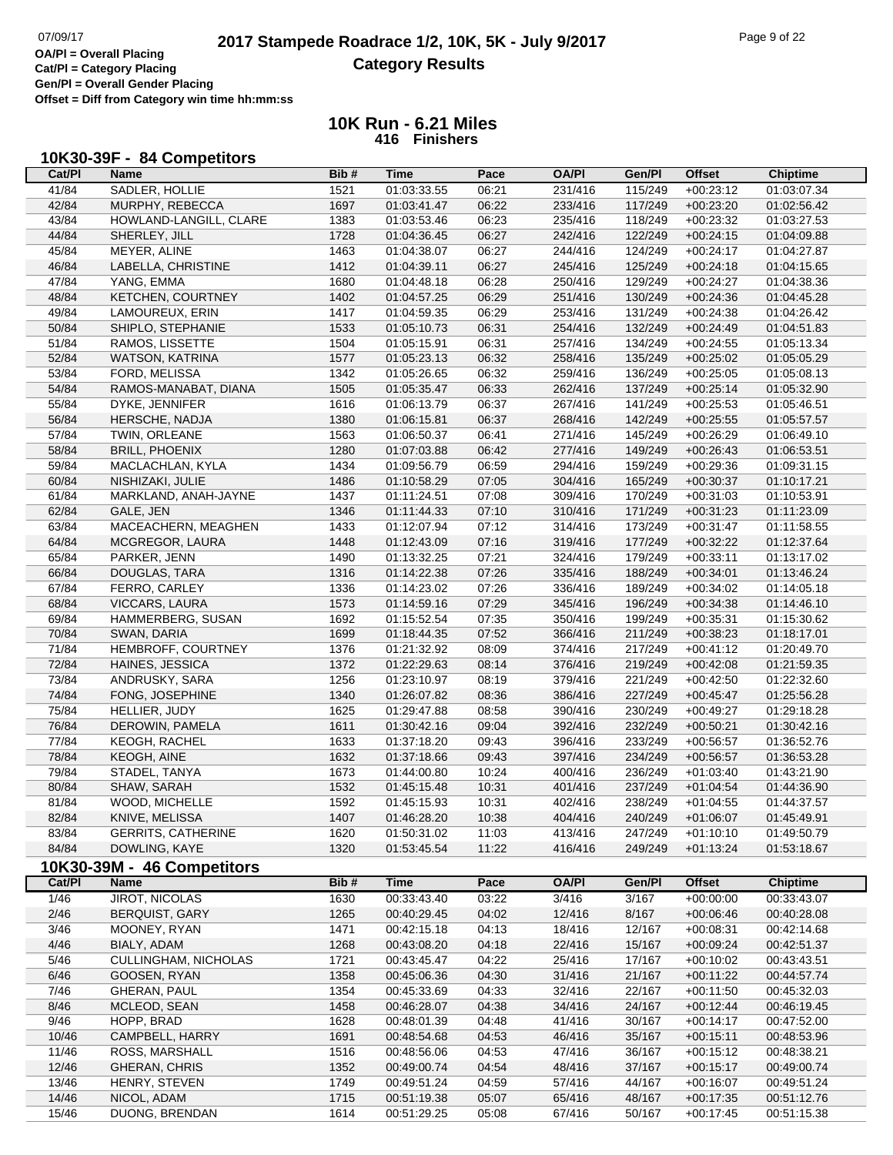# **2017 Stampede Roadrace 1/2, 10K, 5K - July 9/2017** Page 9 of 22<br> **2017 Stampede Roadrace 1/2, 10K, 5K - July 9/2017 Category Results**

**Cat/Pl = Category Placing Gen/Pl = Overall Gender Placing Offset = Diff from Category win time hh:mm:ss**

| Cat/PI | 10K30-39F - 84 Competitors<br><b>Name</b> | Bib# | <b>Time</b> | Pace  | <b>OA/PI</b> | Gen/Pl  | <b>Offset</b> | Chiptime        |
|--------|-------------------------------------------|------|-------------|-------|--------------|---------|---------------|-----------------|
| 41/84  | SADLER, HOLLIE                            | 1521 | 01:03:33.55 | 06:21 | 231/416      | 115/249 | $+00:23:12$   | 01:03:07.34     |
| 42/84  | MURPHY, REBECCA                           | 1697 | 01:03:41.47 | 06:22 | 233/416      | 117/249 | $+00:23:20$   | 01:02:56.42     |
| 43/84  | HOWLAND-LANGILL, CLARE                    | 1383 | 01:03:53.46 | 06:23 | 235/416      | 118/249 | $+00:23:32$   | 01:03:27.53     |
| 44/84  | SHERLEY, JILL                             | 1728 | 01:04:36.45 | 06:27 | 242/416      | 122/249 | $+00:24:15$   | 01:04:09.88     |
| 45/84  | MEYER, ALINE                              | 1463 | 01:04:38.07 | 06:27 | 244/416      | 124/249 | $+00:24:17$   | 01:04:27.87     |
| 46/84  | LABELLA, CHRISTINE                        | 1412 | 01:04:39.11 | 06:27 | 245/416      | 125/249 | $+00:24:18$   | 01:04:15.65     |
| 47/84  | YANG, EMMA                                | 1680 | 01:04:48.18 | 06:28 | 250/416      | 129/249 | $+00:24:27$   | 01:04:38.36     |
| 48/84  | <b>KETCHEN, COURTNEY</b>                  | 1402 | 01:04:57.25 | 06:29 | 251/416      | 130/249 | $+00:24:36$   | 01:04:45.28     |
| 49/84  | LAMOUREUX, ERIN                           | 1417 | 01:04:59.35 | 06:29 | 253/416      | 131/249 | $+00:24:38$   | 01:04:26.42     |
| 50/84  | SHIPLO, STEPHANIE                         | 1533 | 01:05:10.73 | 06:31 | 254/416      | 132/249 | $+00:24:49$   | 01:04:51.83     |
| 51/84  | RAMOS, LISSETTE                           | 1504 | 01:05:15.91 | 06:31 | 257/416      | 134/249 | $+00:24:55$   | 01:05:13.34     |
| 52/84  | <b>WATSON, KATRINA</b>                    | 1577 | 01:05:23.13 | 06:32 | 258/416      | 135/249 | $+00:25:02$   | 01:05:05.29     |
| 53/84  | FORD, MELISSA                             | 1342 | 01:05:26.65 | 06:32 | 259/416      | 136/249 | $+00:25:05$   | 01:05:08.13     |
| 54/84  | RAMOS-MANABAT, DIANA                      | 1505 | 01:05:35.47 | 06:33 | 262/416      | 137/249 | $+00:25:14$   | 01:05:32.90     |
| 55/84  | DYKE, JENNIFER                            | 1616 | 01:06:13.79 | 06:37 | 267/416      | 141/249 | $+00:25:53$   | 01:05:46.51     |
| 56/84  | HERSCHE, NADJA                            | 1380 | 01:06:15.81 | 06:37 | 268/416      | 142/249 | $+00:25:55$   | 01:05:57.57     |
| 57/84  | TWIN, ORLEANE                             | 1563 | 01:06:50.37 | 06:41 | 271/416      | 145/249 | $+00:26:29$   | 01:06:49.10     |
| 58/84  | <b>BRILL, PHOENIX</b>                     | 1280 | 01:07:03.88 | 06:42 | 277/416      | 149/249 | $+00:26:43$   | 01:06:53.51     |
| 59/84  | MACLACHLAN, KYLA                          | 1434 | 01:09:56.79 | 06:59 | 294/416      | 159/249 | $+00:29:36$   | 01:09:31.15     |
| 60/84  | NISHIZAKI, JULIE                          | 1486 | 01:10:58.29 | 07:05 | 304/416      | 165/249 | $+00:30:37$   | 01:10:17.21     |
| 61/84  | MARKLAND, ANAH-JAYNE                      | 1437 | 01:11:24.51 | 07:08 | 309/416      | 170/249 | $+00:31:03$   | 01:10:53.91     |
| 62/84  | GALE, JEN                                 | 1346 | 01:11:44.33 | 07:10 | 310/416      | 171/249 | $+00:31:23$   | 01:11:23.09     |
| 63/84  | MACEACHERN, MEAGHEN                       | 1433 | 01:12:07.94 | 07:12 | 314/416      | 173/249 | $+00.31.47$   | 01:11:58.55     |
| 64/84  | MCGREGOR, LAURA                           | 1448 | 01:12:43.09 | 07:16 | 319/416      | 177/249 | $+00:32:22$   | 01:12:37.64     |
| 65/84  | PARKER, JENN                              | 1490 | 01:13:32.25 | 07:21 | 324/416      | 179/249 | $+00:33:11$   | 01:13:17.02     |
| 66/84  | DOUGLAS, TARA                             | 1316 | 01:14:22.38 | 07:26 | 335/416      | 188/249 | $+00:34:01$   | 01:13:46.24     |
| 67/84  | FERRO, CARLEY                             | 1336 | 01:14:23.02 | 07:26 | 336/416      | 189/249 | $+00:34:02$   | 01:14:05.18     |
| 68/84  | VICCARS, LAURA                            | 1573 | 01:14:59.16 | 07:29 | 345/416      | 196/249 | $+00:34:38$   | 01:14:46.10     |
| 69/84  | HAMMERBERG, SUSAN                         | 1692 | 01:15:52.54 | 07:35 | 350/416      | 199/249 | $+00:35:31$   | 01:15:30.62     |
| 70/84  | SWAN, DARIA                               | 1699 | 01:18:44.35 | 07:52 | 366/416      | 211/249 | $+00:38:23$   | 01:18:17.01     |
| 71/84  | HEMBROFF, COURTNEY                        | 1376 | 01:21:32.92 | 08:09 | 374/416      | 217/249 | $+00:41:12$   | 01:20:49.70     |
| 72/84  | HAINES, JESSICA                           | 1372 | 01:22:29.63 | 08:14 | 376/416      | 219/249 | $+00:42:08$   | 01:21:59.35     |
| 73/84  | ANDRUSKY, SARA                            | 1256 | 01:23:10.97 | 08:19 | 379/416      | 221/249 | $+00:42:50$   | 01:22:32.60     |
| 74/84  | FONG, JOSEPHINE                           | 1340 | 01:26:07.82 | 08:36 | 386/416      | 227/249 | $+00:45:47$   | 01:25:56.28     |
| 75/84  | HELLIER, JUDY                             | 1625 | 01:29:47.88 | 08:58 | 390/416      | 230/249 | $+00:49:27$   | 01:29:18.28     |
| 76/84  | DEROWIN, PAMELA                           | 1611 | 01:30:42.16 | 09:04 | 392/416      | 232/249 | $+00:50:21$   | 01:30:42.16     |
| 77/84  | KEOGH, RACHEL                             | 1633 | 01:37:18.20 | 09:43 | 396/416      | 233/249 | $+00:56:57$   | 01:36:52.76     |
| 78/84  | KEOGH, AINE                               | 1632 | 01:37:18.66 | 09:43 | 397/416      | 234/249 | $+00:56:57$   | 01:36:53.28     |
| 79/84  | STADEL, TANYA                             | 1673 | 01:44:00.80 | 10:24 | 400/416      | 236/249 | $+01:03:40$   | 01:43:21.90     |
| 80/84  | SHAW, SARAH                               | 1532 | 01:45:15.48 | 10:31 | 401/416      | 237/249 | $+01:04:54$   | 01:44:36.90     |
| 81/84  | WOOD, MICHELLE                            | 1592 | 01:45:15.93 | 10:31 | 402/416      | 238/249 | $+01:04:55$   | 01:44:37.57     |
| 82/84  | KNIVE, MELISSA                            | 1407 | 01:46:28.20 | 10:38 | 404/416      | 240/249 | $+01:06:07$   | 01:45:49.91     |
| 83/84  | <b>GERRITS, CATHERINE</b>                 | 1620 | 01:50:31.02 | 11:03 | 413/416      | 247/249 | $+01:10:10$   | 01:49:50.79     |
| 84/84  | DOWLING, KAYE                             | 1320 | 01:53:45.54 | 11:22 | 416/416      | 249/249 | $+01:13:24$   | 01:53:18.67     |
|        | 10K30-39M - 46 Competitors                |      |             |       |              |         |               |                 |
| Cat/PI | <b>Name</b>                               | Bib# | <b>Time</b> | Pace  | <b>OA/PI</b> | Gen/Pl  | Offset        |                 |
|        |                                           |      | 00:33:43.40 |       |              |         |               | <b>Chiptime</b> |
| 1/46   | JIROT, NICOLAS                            | 1630 |             | 03:22 | 3/416        | 3/167   | $+00:00:00$   | 00:33:43.07     |
| 2/46   | BERQUIST, GARY                            | 1265 | 00:40:29.45 | 04:02 | 12/416       | 8/167   | $+00:06:46$   | 00:40:28.08     |
| 3/46   | MOONEY, RYAN                              | 1471 | 00:42:15.18 | 04:13 | 18/416       | 12/167  | $+00:08:31$   | 00:42:14.68     |
| 4/46   | BIALY, ADAM                               | 1268 | 00:43:08.20 | 04:18 | 22/416       | 15/167  | $+00:09:24$   | 00:42:51.37     |
| 5/46   | CULLINGHAM, NICHOLAS                      | 1721 | 00:43:45.47 | 04:22 | 25/416       | 17/167  | $+00:10:02$   | 00:43:43.51     |
| 6/46   | GOOSEN, RYAN                              | 1358 | 00:45:06.36 | 04:30 | 31/416       | 21/167  | $+00:11:22$   | 00:44:57.74     |
| 7/46   | GHERAN, PAUL                              | 1354 | 00:45:33.69 | 04:33 | 32/416       | 22/167  | $+00:11:50$   | 00:45:32.03     |
| 8/46   | MCLEOD, SEAN                              | 1458 | 00:46:28.07 | 04:38 | 34/416       | 24/167  | $+00:12:44$   | 00:46:19.45     |
| 9/46   | HOPP, BRAD                                | 1628 | 00:48:01.39 | 04:48 | 41/416       | 30/167  | $+00:14:17$   | 00:47:52.00     |
| 10/46  | CAMPBELL, HARRY                           | 1691 | 00:48:54.68 | 04:53 | 46/416       | 35/167  | $+00:15:11$   | 00:48:53.96     |
| 11/46  | ROSS, MARSHALL                            | 1516 | 00:48:56.06 | 04:53 | 47/416       | 36/167  | $+00:15:12$   | 00:48:38.21     |
| 12/46  | <b>GHERAN, CHRIS</b>                      | 1352 | 00:49:00.74 | 04:54 | 48/416       | 37/167  | $+00:15:17$   | 00:49:00.74     |
| 13/46  | HENRY, STEVEN                             | 1749 | 00:49:51.24 | 04:59 | 57/416       | 44/167  | $+00:16:07$   | 00:49:51.24     |
| 14/46  | NICOL, ADAM                               | 1715 | 00:51:19.38 | 05:07 | 65/416       | 48/167  | $+00:17:35$   | 00:51:12.76     |
| 15/46  | DUONG, BRENDAN                            | 1614 | 00:51:29.25 | 05:08 | 67/416       | 50/167  | $+00:17:45$   | 00:51:15.38     |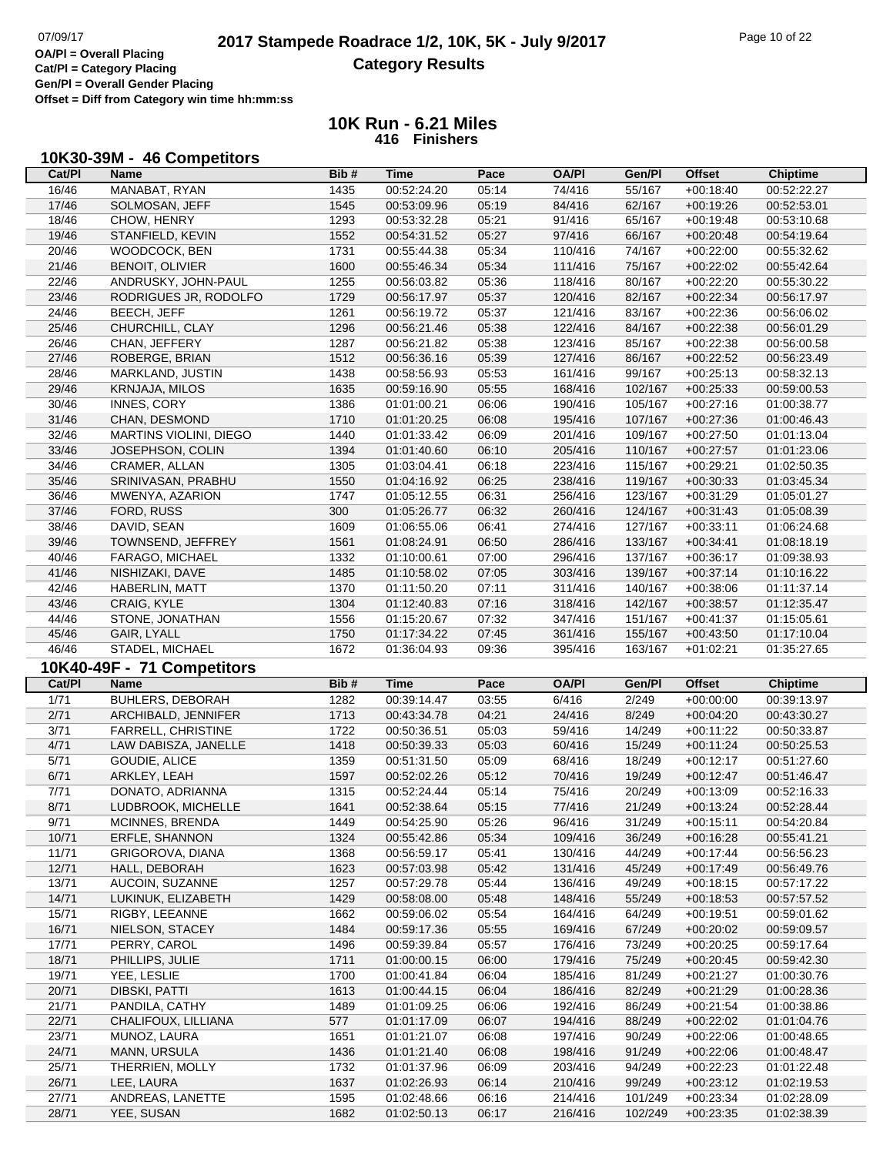# **2017 Stampede Roadrace 1/2, 10K, 5K - July 9/2017** Page 10 of 22<br> **2017 Stampede Roadrace 1/2, 10K, 5K - July 9/2017 Category Results**

**Cat/Pl = Category Placing Gen/Pl = Overall Gender Placing**

**Offset = Diff from Category win time hh:mm:ss**

| 10K30-39M - 46 Competitors |  |
|----------------------------|--|
|----------------------------|--|

| Cat/PI         | Name                           | Bib#         | <b>Time</b>                | Pace           | <b>OA/PI</b>       | Gen/Pl             | <b>Offset</b>              | <b>Chiptime</b>            |
|----------------|--------------------------------|--------------|----------------------------|----------------|--------------------|--------------------|----------------------------|----------------------------|
| 16/46          | MANABAT, RYAN                  | 1435         | 00:52:24.20                | 05:14          | 74/416             | 55/167             | $+00:18:40$                | 00:52:22.27                |
| 17/46          | SOLMOSAN, JEFF                 | 1545         | 00:53:09.96                | 05:19          | 84/416             | 62/167             | $+00:19:26$                | 00:52:53.01                |
| 18/46          | CHOW, HENRY                    | 1293         | 00:53:32.28                | 05:21          | 91/416             | 65/167             | $+00:19:48$                | 00:53:10.68                |
| 19/46          | STANFIELD, KEVIN               | 1552         | 00:54:31.52                | 05:27          | 97/416             | 66/167             | $+00:20:48$                | 00:54:19.64                |
| 20/46          | WOODCOCK, BEN                  | 1731         | 00:55:44.38                | 05:34          | 110/416            | 74/167             | $+00:22:00$                | 00:55:32.62                |
| 21/46          | <b>BENOIT, OLIVIER</b>         | 1600         | 00:55:46.34                | 05:34          | 111/416            | 75/167             | $+00:22:02$                | 00:55:42.64                |
| 22/46          | ANDRUSKY, JOHN-PAUL            | 1255         | 00:56:03.82                | 05:36          | 118/416            | 80/167             | $+00:22:20$                | 00:55:30.22                |
| 23/46          | RODRIGUES JR, RODOLFO          | 1729         | 00:56:17.97                | 05:37          | 120/416            | 82/167             | $+00:22:34$                | 00:56:17.97                |
| 24/46          | BEECH, JEFF                    | 1261         | 00:56:19.72                | 05:37          | 121/416            | 83/167             | $+00:22:36$                | 00:56:06.02                |
| 25/46          | CHURCHILL, CLAY                | 1296         | 00:56:21.46                | 05:38          | 122/416            | 84/167             | $+00:22:38$                | 00:56:01.29                |
| 26/46          |                                |              |                            |                |                    |                    |                            | 00:56:00.58                |
|                | CHAN, JEFFERY                  | 1287         | 00:56:21.82                | 05:38          | 123/416            | 85/167             | $+00:22:38$                |                            |
| 27/46          | ROBERGE, BRIAN                 | 1512         | 00:56:36.16                | 05:39          | 127/416            | 86/167             | $+00:22:52$                | 00:56:23.49                |
| 28/46          | MARKLAND, JUSTIN               | 1438         | 00:58:56.93                | 05:53          | 161/416            | 99/167             | $+00:25:13$                | 00:58:32.13                |
| 29/46          | KRNJAJA, MILOS                 | 1635         | 00:59:16.90                | 05:55          | 168/416            | 102/167            | $+00:25:33$                | 00:59:00.53                |
| 30/46          | <b>INNES, CORY</b>             | 1386         | 01:01:00.21                | 06:06          | 190/416            | 105/167            | $+00:27:16$                | 01:00:38.77                |
| 31/46          | CHAN, DESMOND                  | 1710         | 01:01:20.25                | 06:08          | 195/416            | 107/167            | $+00:27:36$                | 01:00:46.43                |
| 32/46          | MARTINS VIOLINI, DIEGO         | 1440         | 01:01:33.42                | 06:09          | 201/416            | 109/167            | $+00:27:50$                | 01:01:13.04                |
| 33/46          | JOSEPHSON, COLIN               | 1394         | 01:01:40.60                | 06:10          | 205/416            | 110/167            | $+00:27:57$                | 01:01:23.06                |
| 34/46          | CRAMER, ALLAN                  | 1305         | 01:03:04.41                | 06:18          | 223/416            | 115/167            | $+00:29:21$                | 01:02:50.35                |
| 35/46          | SRINIVASAN, PRABHU             | 1550         | 01:04:16.92                | 06:25          | 238/416            | 119/167            | $+00:30:33$                | 01:03:45.34                |
| 36/46          | MWENYA, AZARION                | 1747         | 01:05:12.55                | 06:31          | 256/416            | 123/167            | $+00:31:29$                | 01:05:01.27                |
| 37/46          | FORD, RUSS                     | 300          | 01:05:26.77                | 06:32          | 260/416            | 124/167            | $+00.31.43$                | 01:05:08.39                |
| 38/46          | DAVID, SEAN                    | 1609         | 01:06:55.06                | 06:41          | 274/416            | 127/167            | $+00:33:11$                | 01:06:24.68                |
| 39/46          | TOWNSEND, JEFFREY              | 1561         | 01:08:24.91                | 06:50          | 286/416            | 133/167            | $+00:34:41$                | 01:08:18.19                |
| 40/46          | FARAGO, MICHAEL                | 1332         | 01:10:00.61                | 07:00          | 296/416            | 137/167            | $+00:36:17$                | 01:09:38.93                |
| 41/46          | NISHIZAKI, DAVE                | 1485         | 01:10:58.02                | 07:05          | 303/416            | 139/167            | $+00:37:14$                | 01:10:16.22                |
| 42/46          | <b>HABERLIN, MATT</b>          | 1370         | 01:11:50.20                | 07:11          | 311/416            | 140/167            | $+00:38:06$                | 01:11:37.14                |
| 43/46          | CRAIG, KYLE                    | 1304         | 01:12:40.83                | 07:16          | 318/416            | 142/167            | $+00:38:57$                | 01:12:35.47                |
| 44/46          | STONE, JONATHAN                | 1556         | 01:15:20.67                | 07:32          | 347/416            | 151/167            | $+00:41:37$                | 01:15:05.61                |
| 45/46          | GAIR, LYALL                    | 1750         | 01:17:34.22                | 07:45          | 361/416            | 155/167            | $+00:43:50$                | 01:17:10.04                |
| 46/46          | STADEL, MICHAEL                | 1672         | 01:36:04.93                | 09:36          | 395/416            | 163/167            | $+01:02:21$                | 01:35:27.65                |
|                | 10K40-49F - 71 Competitors     |              |                            |                |                    |                    |                            |                            |
|                | <b>Name</b>                    | Bib#         | <b>Time</b>                |                | <b>OA/PI</b>       |                    | <b>Offset</b>              |                            |
| Cat/PI         |                                |              |                            | Pace           |                    | Gen/Pl             |                            | <b>Chiptime</b>            |
| 1/71           | <b>BUHLERS, DEBORAH</b>        | 1282         | 00:39:14.47                | 03:55          | 6/416              | 2/249              | $+00:00:00$                | 00:39:13.97                |
| 2/71           | ARCHIBALD, JENNIFER            | 1713         | 00:43:34.78                | 04:21          | 24/416             | 8/249              | $+00:04:20$                | 00:43:30.27                |
| 3/71           | FARRELL, CHRISTINE             | 1722         | 00:50:36.51                | 05:03          | 59/416             | 14/249             | $+00:11:22$                | 00:50:33.87                |
| 4/71           | LAW DABISZA, JANELLE           | 1418         | 00:50:39.33                | 05:03          | 60/416             | 15/249             | $+00:11:24$                | 00:50:25.53                |
| 5/71           | GOUDIE, ALICE                  | 1359         | 00:51:31.50                | 05:09          | 68/416             | 18/249             | $+00:12:17$                | 00:51:27.60                |
| 6/71           | ARKLEY, LEAH                   | 1597         | 00:52:02.26                | 05:12          | 70/416             | 19/249             | $+00:12:47$                | 00:51:46.47                |
| 7/71           | DONATO, ADRIANNA               | 1315         | 00:52:24.44                | 05:14          | 75/416             | 20/249             | $+00:13:09$                | 00:52:16.33                |
| 8/71           | LUDBROOK, MICHELLE             | 1641         | 00:52:38.64                | 05:15          | 77/416             | 21/249             | $+00.13.24$                | 00:52:28.44                |
| 9/71           | MCINNES, BRENDA                | 1449         | 00:54:25.90                | 05:26          | 96/416             | 31/249             | $+00:15:11$                | 00:54:20.84                |
| 10/71          |                                |              |                            |                |                    |                    |                            |                            |
| 11/71          | ERFLE, SHANNON                 | 1324         | 00:55:42.86                | 05:34          | 109/416            | 36/249             | $+00:16:28$                | 00:55:41.21                |
| 12/71          | GRIGOROVA, DIANA               | 1368         | 00:56:59.17                | 05:41          | 130/416            | 44/249             | $+00:17:44$                | 00:56:56.23                |
|                | HALL, DEBORAH                  | 1623         | 00:57:03.98                | 05:42          | 131/416            | 45/249             | $+00:17:49$                | 00:56:49.76                |
| 13/71          | AUCOIN, SUZANNE                | 1257         | 00:57:29.78                | 05:44          | 136/416            | 49/249             | $+00:18:15$                | 00:57:17.22                |
| 14/71          | LUKINUK, ELIZABETH             | 1429         | 00:58:08.00                | 05:48          | 148/416            | 55/249             | $+00:18:53$                | 00:57:57.52                |
| 15/71          | RIGBY, LEEANNE                 | 1662         | 00:59:06.02                | 05:54          | 164/416            | 64/249             | $+00:19:51$                | 00:59:01.62                |
| 16/71          | NIELSON, STACEY                | 1484         | 00:59:17.36                | 05:55          | 169/416            | 67/249             | $+00.20.02$                | 00:59:09.57                |
| 17/71          | PERRY, CAROL                   | 1496         | 00:59:39.84                | 05:57          | 176/416            | 73/249             | $+00:20:25$                | 00:59:17.64                |
| 18/71          | PHILLIPS, JULIE                | 1711         | 01:00:00.15                | 06:00          | 179/416            | 75/249             | $+00:20:45$                | 00:59:42.30                |
| 19/71          | YEE, LESLIE                    | 1700         | 01:00:41.84                | 06:04          | 185/416            | 81/249             | $+00:21:27$                | 01:00:30.76                |
| 20/71          | DIBSKI, PATTI                  | 1613         | 01:00:44.15                | 06:04          | 186/416            | 82/249             | $+00:21:29$                | 01:00:28.36                |
| 21/71          | PANDILA, CATHY                 | 1489         | 01:01:09.25                | 06:06          | 192/416            | 86/249             |                            | 01:00:38.86                |
|                |                                |              |                            | 06:07          |                    |                    | $+00:21:54$                |                            |
| 22/71          | CHALIFOUX, LILLIANA            | 577          | 01:01:17.09                |                | 194/416            | 88/249             | $+00:22:02$                | 01:01:04.76                |
| 23/71          | MUNOZ, LAURA                   | 1651         | 01:01:21.07                | 06:08          | 197/416            | 90/249             | $+00:22:06$                | 01:00:48.65                |
| 24/71          | MANN, URSULA                   | 1436         | 01:01:21.40                | 06:08          | 198/416            | 91/249             | $+00:22:06$                | 01:00:48.47                |
| 25/71          | THERRIEN, MOLLY                | 1732         | 01:01:37.96                | 06:09          | 203/416            | 94/249             | $+00:22:23$                | 01:01:22.48                |
| 26/71          | LEE, LAURA                     | 1637         | 01:02:26.93                | 06:14          | 210/416            | 99/249             | $+00:23:12$                | 01:02:19.53                |
| 27/71<br>28/71 | ANDREAS, LANETTE<br>YEE, SUSAN | 1595<br>1682 | 01:02:48.66<br>01:02:50.13 | 06:16<br>06:17 | 214/416<br>216/416 | 101/249<br>102/249 | $+00:23:34$<br>$+00:23:35$ | 01:02:28.09<br>01:02:38.39 |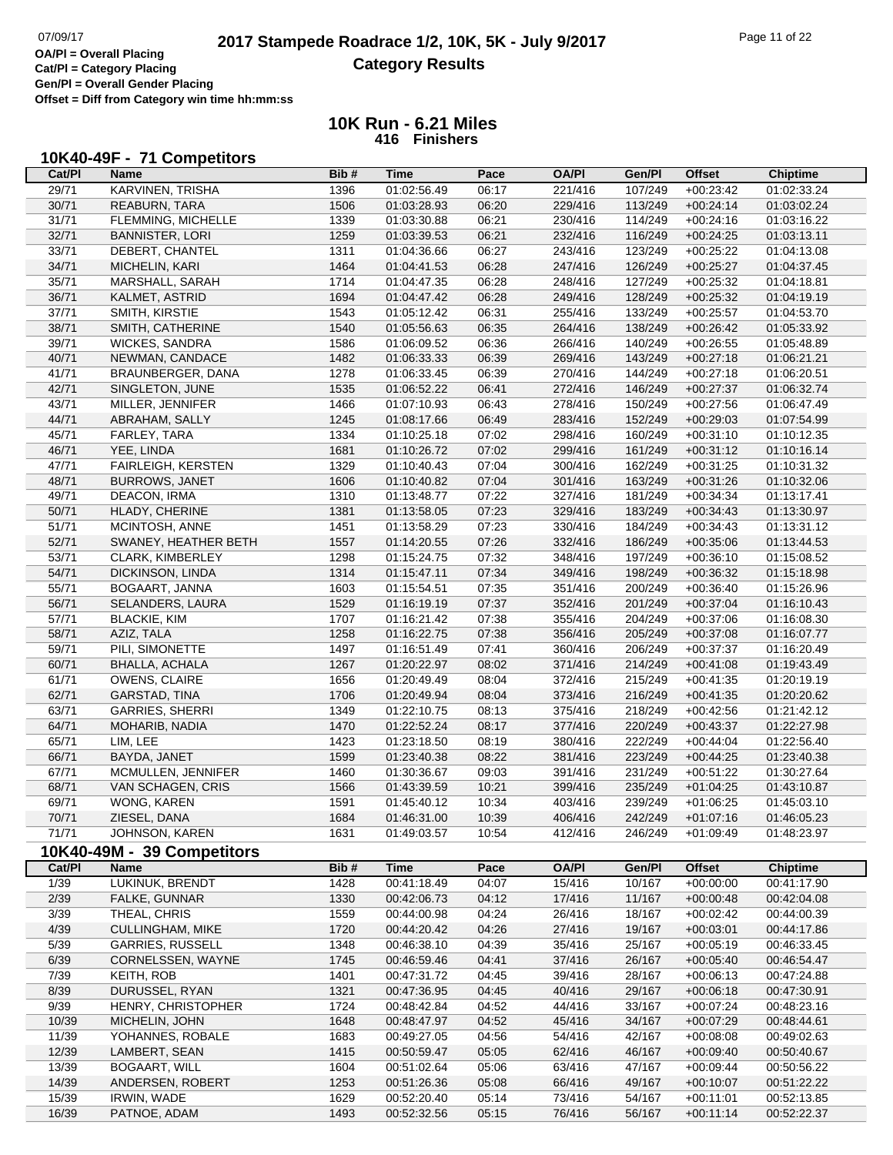## **2017 Stampede Roadrace 1/2, 10K, 5K - July 9/2017** Page 11 of 22<br> **DA/PI** = Overall Placing 2017 Stampede Roadrace 1/2, 10K, 5K - July 9/2017 **Category Results**

**Cat/Pl = Category Placing Gen/Pl = Overall Gender Placing Offset = Diff from Category win time hh:mm:ss**

| <b>71 Competitors</b><br>10K40-49F - |  |
|--------------------------------------|--|
|--------------------------------------|--|

| Cat/PI | Name                       | Bib# | Time        | Pace  | <b>OA/PI</b>     | Gen/Pl  | <b>Offset</b> | <b>Chiptime</b>            |
|--------|----------------------------|------|-------------|-------|------------------|---------|---------------|----------------------------|
| 29/71  | KARVINEN, TRISHA           | 1396 | 01:02:56.49 | 06:17 | 221/416          | 107/249 | $+00:23:42$   | 01:02:33.24                |
| 30/71  | <b>REABURN, TARA</b>       | 1506 | 01:03:28.93 | 06:20 | 229/416          | 113/249 | $+00:24:14$   | 01:03:02.24                |
| 31/71  | FLEMMING, MICHELLE         | 1339 | 01:03:30.88 | 06:21 | 230/416          | 114/249 | $+00:24:16$   | 01:03:16.22                |
| 32/71  | <b>BANNISTER, LORI</b>     | 1259 | 01:03:39.53 | 06:21 | 232/416          | 116/249 | $+00:24:25$   | 01:03:13.11                |
| 33/71  | DEBERT, CHANTEL            | 1311 | 01:04:36.66 | 06:27 | 243/416          | 123/249 | $+00:25:22$   | 01:04:13.08                |
| 34/71  | MICHELIN, KARI             | 1464 | 01:04:41.53 | 06:28 | 247/416          | 126/249 | $+00:25:27$   | 01:04:37.45                |
| 35/71  | MARSHALL, SARAH            | 1714 | 01:04:47.35 | 06:28 | 248/416          | 127/249 | $+00:25:32$   | 01:04:18.81                |
| 36/71  | KALMET, ASTRID             | 1694 | 01:04:47.42 | 06:28 | 249/416          | 128/249 | $+00:25:32$   | 01:04:19.19                |
| 37/71  | SMITH, KIRSTIE             | 1543 | 01:05:12.42 | 06:31 | 255/416          | 133/249 | $+00:25:57$   | 01:04:53.70                |
| 38/71  | SMITH, CATHERINE           | 1540 | 01:05:56.63 | 06:35 | 264/416          | 138/249 | $+00:26:42$   | 01:05:33.92                |
| 39/71  | WICKES, SANDRA             | 1586 | 01:06:09.52 | 06:36 | 266/416          | 140/249 | $+00:26:55$   | 01:05:48.89                |
| 40/71  | NEWMAN, CANDACE            | 1482 | 01:06:33.33 | 06:39 | 269/416          | 143/249 | $+00:27:18$   | 01:06:21.21                |
| 41/71  | BRAUNBERGER, DANA          | 1278 | 01:06:33.45 | 06:39 | 270/416          | 144/249 | $+00:27:18$   | 01:06:20.51                |
| 42/71  | SINGLETON, JUNE            | 1535 | 01:06:52.22 | 06:41 | 272/416          | 146/249 | $+00:27:37$   | 01:06:32.74                |
| 43/71  | MILLER, JENNIFER           | 1466 | 01:07:10.93 | 06:43 | 278/416          | 150/249 | $+00:27:56$   | 01:06:47.49                |
| 44/71  | ABRAHAM, SALLY             | 1245 | 01:08:17.66 | 06:49 | 283/416          | 152/249 | $+00:29:03$   | 01:07:54.99                |
| 45/71  | FARLEY, TARA               | 1334 | 01:10:25.18 | 07:02 | 298/416          | 160/249 | $+00:31:10$   | 01:10:12.35                |
| 46/71  | YEE, LINDA                 | 1681 | 01:10:26.72 | 07:02 | 299/416          | 161/249 | $+00:31:12$   | 01:10:16.14                |
| 47/71  | FAIRLEIGH, KERSTEN         | 1329 | 01:10:40.43 | 07:04 | 300/416          | 162/249 | $+00:31:25$   | 01:10:31.32                |
| 48/71  | <b>BURROWS, JANET</b>      | 1606 | 01:10:40.82 | 07:04 | 301/416          | 163/249 | $+00:31:26$   | 01:10:32.06                |
| 49/71  | DEACON, IRMA               | 1310 | 01:13:48.77 | 07:22 | 327/416          | 181/249 | $+00:34:34$   | 01:13:17.41                |
| 50/71  | HLADY, CHERINE             | 1381 | 01:13:58.05 | 07:23 | 329/416          | 183/249 | $+00:34:43$   | 01:13:30.97                |
| 51/71  | MCINTOSH, ANNE             | 1451 | 01:13:58.29 | 07:23 | 330/416          | 184/249 | $+00:34:43$   | 01:13:31.12                |
| 52/71  | SWANEY, HEATHER BETH       | 1557 | 01:14:20.55 | 07:26 | 332/416          | 186/249 | $+00:35:06$   | 01:13:44.53                |
| 53/71  | CLARK, KIMBERLEY           | 1298 | 01:15:24.75 | 07:32 | 348/416          | 197/249 | $+00:36:10$   | 01:15:08.52                |
| 54/71  | DICKINSON, LINDA           | 1314 | 01:15:47.11 | 07:34 | 349/416          | 198/249 | $+00:36:32$   | 01:15:18.98                |
| 55/71  | BOGAART, JANNA             | 1603 | 01:15:54.51 | 07:35 | 351/416          | 200/249 | $+00:36:40$   | 01:15:26.96                |
| 56/71  | SELANDERS, LAURA           | 1529 | 01:16:19.19 | 07:37 | 352/416          | 201/249 | $+00:37:04$   | 01:16:10.43                |
| 57/71  | <b>BLACKIE, KIM</b>        | 1707 | 01:16:21.42 | 07:38 | 355/416          | 204/249 | $+00:37:06$   | 01:16:08.30                |
| 58/71  | AZIZ, TALA                 | 1258 | 01:16:22.75 | 07:38 | 356/416          | 205/249 | $+00:37:08$   | 01:16:07.77                |
| 59/71  | PILI, SIMONETTE            | 1497 | 01:16:51.49 | 07:41 | 360/416          | 206/249 | $+00:37:37$   | 01:16:20.49                |
| 60/71  | BHALLA, ACHALA             | 1267 | 01:20:22.97 | 08:02 | 371/416          | 214/249 | $+00:41:08$   | 01:19:43.49                |
| 61/71  | OWENS, CLAIRE              | 1656 | 01:20:49.49 | 08:04 | 372/416          | 215/249 | $+00:41:35$   | 01:20:19.19                |
| 62/71  | <b>GARSTAD, TINA</b>       | 1706 | 01:20:49.94 | 08:04 | 373/416          | 216/249 | $+00:41:35$   | 01:20:20.62                |
| 63/71  | <b>GARRIES, SHERRI</b>     | 1349 | 01:22:10.75 | 08:13 | 375/416          | 218/249 | $+00:42:56$   | 01:21:42.12                |
| 64/71  | MOHARIB, NADIA             | 1470 | 01:22:52.24 | 08:17 | 377/416          | 220/249 | $+00:43:37$   | 01:22:27.98                |
| 65/71  | LIM, LEE                   | 1423 | 01:23:18.50 | 08:19 | 380/416          | 222/249 | $+00:44:04$   | 01:22:56.40                |
| 66/71  | BAYDA, JANET               | 1599 | 01:23:40.38 | 08:22 | 381/416          | 223/249 | $+00:44:25$   | 01:23:40.38                |
| 67/71  | MCMULLEN, JENNIFER         | 1460 | 01:30:36.67 | 09:03 | 391/416          | 231/249 | $+00:51:22$   | 01:30:27.64                |
| 68/71  | VAN SCHAGEN, CRIS          | 1566 | 01:43:39.59 | 10:21 | 399/416          | 235/249 | $+01:04:25$   | 01:43:10.87                |
| 69/71  | WONG, KAREN                | 1591 | 01:45:40.12 | 10:34 | 403/416          | 239/249 | $+01:06:25$   | 01:45:03.10                |
| 70/71  | ZIESEL, DANA               | 1684 | 01:46:31.00 | 10:39 | 406/416          | 242/249 | $+01:07:16$   | 01:46:05.23                |
| 71/71  | JOHNSON, KAREN             | 1631 | 01:49:03.57 | 10:54 | 412/416          | 246/249 | $+01:09:49$   | 01:48:23.97                |
|        | 10K40-49M - 39 Competitors |      |             |       |                  |         |               |                            |
| Cat/PI | <b>Name</b>                | Bib# | <b>Time</b> | Pace  | <b>OA/PI</b>     | Gen/Pl  | <b>Offset</b> | <b>Chiptime</b>            |
|        | LUKINUK, BRENDT            |      | 00:41:18.49 |       |                  |         |               |                            |
| 1/39   |                            | 1428 |             | 04:07 | 15/416           | 10/167  | $+00:00:00$   | 00:41:17.90                |
| 2/39   | FALKE, GUNNAR              | 1330 | 00:42:06.73 | 04:12 | 17/416           | 11/167  | $+00:00:48$   | 00:42:04.08                |
| 3/39   | THEAL, CHRIS               | 1559 | 00:44:00.98 | 04:24 | 26/416<br>27/416 | 18/167  | $+00:02:42$   | 00:44:00.39<br>00:44:17.86 |
| 4/39   | <b>CULLINGHAM, MIKE</b>    | 1720 | 00:44:20.42 | 04:26 | 35/416           | 19/167  | $+00:03:01$   |                            |
| 5/39   | <b>GARRIES, RUSSELL</b>    | 1348 | 00:46:38.10 | 04:39 |                  | 25/167  | $+00:05:19$   | 00:46:33.45                |
| 6/39   | CORNELSSEN, WAYNE          | 1745 | 00:46:59.46 | 04:41 | 37/416           | 26/167  | $+00:05:40$   | 00:46:54.47                |
| 7/39   | KEITH, ROB                 | 1401 | 00:47:31.72 | 04:45 | 39/416           | 28/167  | $+00:06:13$   | 00:47:24.88                |
| 8/39   | DURUSSEL, RYAN             | 1321 | 00:47:36.95 | 04:45 | 40/416           | 29/167  | $+00:06:18$   | 00:47:30.91                |
| 9/39   | HENRY, CHRISTOPHER         | 1724 | 00:48:42.84 | 04:52 | 44/416           | 33/167  | $+00:07:24$   | 00:48:23.16                |
| 10/39  | MICHELIN, JOHN             | 1648 | 00:48:47.97 | 04:52 | 45/416           | 34/167  | $+00:07:29$   | 00:48:44.61                |
| 11/39  | YOHANNES, ROBALE           | 1683 | 00:49:27.05 | 04:56 | 54/416           | 42/167  | $+00:08:08$   | 00:49:02.63                |
| 12/39  | LAMBERT, SEAN              | 1415 | 00:50:59.47 | 05:05 | 62/416           | 46/167  | $+00:09:40$   | 00:50:40.67                |
| 13/39  | <b>BOGAART, WILL</b>       | 1604 | 00:51:02.64 | 05:06 | 63/416           | 47/167  | $+00:09:44$   | 00:50:56.22                |
| 14/39  | ANDERSEN, ROBERT           | 1253 | 00:51:26.36 | 05:08 | 66/416           | 49/167  | $+00:10:07$   | 00:51:22.22                |
| 15/39  | <b>IRWIN, WADE</b>         | 1629 | 00:52:20.40 | 05:14 | 73/416           | 54/167  | $+00:11:01$   | 00:52:13.85                |
| 16/39  | PATNOE, ADAM               | 1493 | 00:52:32.56 | 05:15 | 76/416           | 56/167  | $+00:11:14$   | 00:52:22.37                |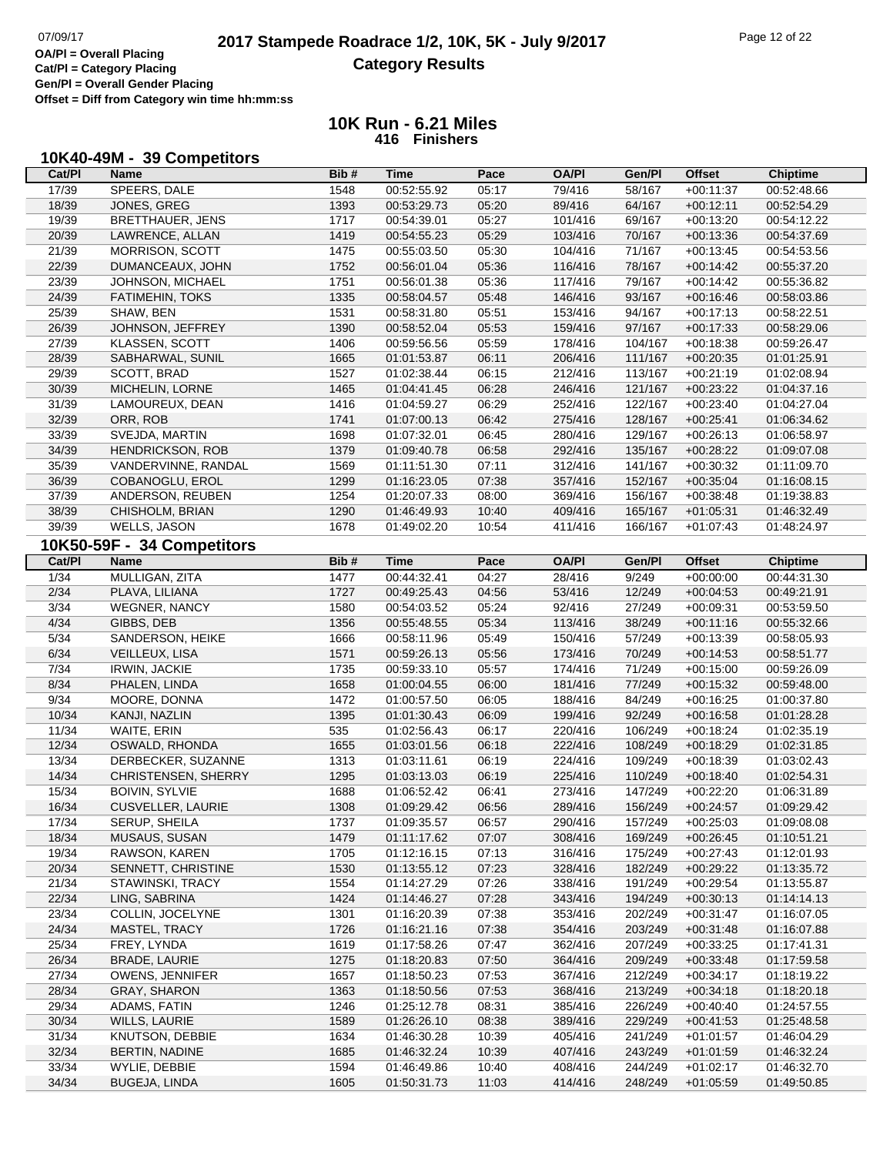## **2017 Stampede Roadrace 1/2, 10K, 5K - July 9/2017** Page 12 of 22<br> **DA/PI** = Overall Placing 2017 Stampede Roadrace 1/2, 10K, 5K - July 9/2017 **Category Results**

**Cat/Pl = Category Placing Gen/Pl = Overall Gender Placing**

**Offset = Diff from Category win time hh:mm:ss**

| 10K40-49M - 39 Competitors |  |
|----------------------------|--|
|----------------------------|--|

| Cat/PI         | Name                                  | Bib#         | Time                       | Pace           | OA/PI              | Gen/Pl             | Offset                     | Chiptime                   |
|----------------|---------------------------------------|--------------|----------------------------|----------------|--------------------|--------------------|----------------------------|----------------------------|
| 17/39          | SPEERS, DALE                          | 1548         | 00:52:55.92                | 05:17          | 79/416             | 58/167             | $+00:11:37$                | 00:52:48.66                |
| 18/39          | JONES, GREG                           | 1393         | 00:53:29.73                | 05:20          | 89/416             | 64/167             | $+00:12:11$                | 00:52:54.29                |
| 19/39          | <b>BRETTHAUER, JENS</b>               | 1717         | 00:54:39.01                | 05:27          | 101/416            | 69/167             | $+00:13:20$                | 00:54:12.22                |
| 20/39          | LAWRENCE, ALLAN                       | 1419         | 00:54:55.23                | 05:29          | 103/416            | 70/167             | $+00:13:36$                | 00:54:37.69                |
| 21/39          | MORRISON, SCOTT                       | 1475         | 00:55:03.50                | 05:30          | 104/416            | 71/167             | $+00:13:45$                | 00:54:53.56                |
| 22/39          | DUMANCEAUX, JOHN                      | 1752         | 00:56:01.04                | 05:36          | 116/416            | 78/167             | $+00:14:42$                | 00:55:37.20                |
| 23/39          | JOHNSON, MICHAEL                      | 1751         | 00:56:01.38                | 05:36          | 117/416            | 79/167             | $+00:14:42$                | 00:55:36.82                |
| 24/39          | <b>FATIMEHIN, TOKS</b>                | 1335         | 00:58:04.57                | 05:48          | 146/416            | 93/167             | $+00:16:46$                | 00:58:03.86                |
| 25/39          | SHAW, BEN                             | 1531         | 00:58:31.80                | 05:51          | 153/416            | 94/167             | $+00:17:13$                | 00:58:22.51                |
| 26/39          | JOHNSON, JEFFREY                      | 1390         | 00:58:52.04                | 05:53          | 159/416            | 97/167             | $+00:17:33$                | 00:58:29.06                |
| 27/39          | <b>KLASSEN, SCOTT</b>                 | 1406         | 00:59:56.56                | 05:59          | 178/416            | 104/167            | $+00:18:38$                | 00:59:26.47                |
| 28/39          | SABHARWAL, SUNIL                      | 1665         | 01:01:53.87                | 06:11          | 206/416            | 111/167            | $+00:20:35$                | 01:01:25.91                |
| 29/39          | SCOTT, BRAD                           | 1527         | 01:02:38.44                | 06:15          | 212/416            | 113/167            | $+00:21:19$                | 01:02:08.94                |
| 30/39          | MICHELIN, LORNE                       | 1465         | 01:04:41.45                | 06:28          | 246/416            | 121/167            | $+00:23:22$                | 01:04:37.16                |
| 31/39          | LAMOUREUX, DEAN                       | 1416         | 01:04:59.27                | 06:29          | 252/416            | 122/167            | $+00:23:40$                | 01:04:27.04                |
| 32/39          |                                       | 1741         |                            |                |                    |                    |                            |                            |
|                | ORR, ROB                              |              | 01:07:00.13                | 06:42          | 275/416            | 128/167            | $+00:25:41$                | 01:06:34.62                |
| 33/39          | SVEJDA, MARTIN                        | 1698         | 01:07:32.01                | 06:45          | 280/416            | 129/167            | $+00:26:13$                | 01:06:58.97                |
| 34/39          | HENDRICKSON, ROB                      | 1379         | 01:09:40.78                | 06:58          | 292/416            | 135/167            | $+00:28:22$                | 01:09:07.08                |
| 35/39          | VANDERVINNE, RANDAL                   | 1569         | 01:11:51.30                | 07:11          | 312/416            | 141/167            | $+00:30:32$                | 01:11:09.70                |
| 36/39          | COBANOGLU, EROL                       | 1299         | 01:16:23.05                | 07:38          | 357/416            | 152/167            | $+00:35:04$                | 01:16:08.15                |
| 37/39          | ANDERSON, REUBEN                      | 1254         | 01:20:07.33                | 08:00          | 369/416            | 156/167            | $+00:38:48$                | 01:19:38.83                |
| 38/39          | CHISHOLM, BRIAN                       | 1290         | 01:46:49.93                | 10:40          | 409/416            | 165/167            | $+01:05:31$                | 01:46:32.49                |
| 39/39          | <b>WELLS, JASON</b>                   | 1678         | 01:49:02.20                | 10:54          | 411/416            | 166/167            | $+01:07:43$                | 01:48:24.97                |
|                | 10K50-59F - 34 Competitors            |              |                            |                |                    |                    |                            |                            |
| Cat/PI         | <b>Name</b>                           | Bib#         | <b>Time</b>                | Pace           | <b>OA/PI</b>       | Gen/Pl             | <b>Offset</b>              | <b>Chiptime</b>            |
| 1/34           | MULLIGAN, ZITA                        | 1477         | 00:44:32.41                | 04:27          | 28/416             | 9/249              | $+00:00:00$                | 00:44:31.30                |
| 2/34           | PLAVA, LILIANA                        | 1727         | 00:49:25.43                | 04:56          | 53/416             | 12/249             | $+00:04:53$                | 00:49:21.91                |
| $3/34$         | <b>WEGNER, NANCY</b>                  | 1580         | 00:54:03.52                | 05:24          | 92/416             | 27/249             | $+00:09:31$                | 00:53:59.50                |
| 4/34           | GIBBS, DEB                            | 1356         | 00:55:48.55                | 05:34          | 113/416            | 38/249             | $+00:11:16$                | 00:55:32.66                |
| 5/34           | SANDERSON, HEIKE                      | 1666         | 00:58:11.96                | 05:49          | 150/416            | 57/249             | $+00:13:39$                | 00:58:05.93                |
|                |                                       |              |                            |                |                    |                    |                            |                            |
|                |                                       |              | 00:59:26.13                |                |                    |                    |                            |                            |
| 6/34           | VEILLEUX, LISA                        | 1571         |                            | 05:56          | 173/416            | 70/249             | $+00:14:53$                | 00:58:51.77                |
| $7/34$         | <b>IRWIN, JACKIE</b>                  | 1735         | 00:59:33.10                | 05:57<br>06:00 | 174/416            | 71/249             | $+00:15:00$                | 00:59:26.09                |
| 8/34           | PHALEN, LINDA                         | 1658         | 01:00:04.55                |                | 181/416            | 77/249             | $+00:15:32$                | 00:59:48.00                |
| 9/34           | MOORE, DONNA                          | 1472         | 01:00:57.50                | 06:05          | 188/416            | 84/249             | $+00:16:25$                | 01:00:37.80                |
| 10/34          | KANJI, NAZLIN                         | 1395         | 01:01:30.43                | 06:09          | 199/416            | 92/249             | $+00:16:58$                | 01:01:28.28                |
| 11/34          | WAITE, ERIN                           | 535          | 01:02:56.43                | 06:17          | 220/416            | 106/249            | $+00:18:24$                | 01:02:35.19                |
| 12/34          | OSWALD, RHONDA                        | 1655         | 01:03:01.56                | 06:18          | 222/416            | 108/249            | $+00:18:29$                | 01:02:31.85                |
| 13/34          | DERBECKER, SUZANNE                    | 1313         | 01:03:11.61                | 06:19          | 224/416            | 109/249            | $+00:18:39$                | 01:03:02.43                |
| 14/34          | <b>CHRISTENSEN, SHERRY</b>            | 1295         | 01:03:13.03                | 06:19          | 225/416            | 110/249            | $+00:18:40$                | 01:02:54.31                |
| 15/34          | <b>BOIVIN, SYLVIE</b>                 | 1688         | 01:06:52.42                | 06:41          | 273/416            | 147/249<br>156/249 | $+00:22:20$                | 01:06:31.89                |
| 16/34          | CUSVELLER, LAURIE                     | 1308         | 01:09:29.42                | 06:56          | 289/416            |                    | $+00:24:57$                | 01:09:29.42                |
| 17/34          | SERUP, SHEILA                         | 1737         | 01:09:35.57                | 06:57          | 290/416            | 157/249            | $+00:25:03$                | 01:09:08.08                |
| 18/34          | MUSAUS, SUSAN                         | 1479         | 01:11:17.62                | 07:07          | 308/416            | 169/249            | $+00:26:45$                | 01:10:51.21                |
| 19/34          | RAWSON, KAREN                         | 1705         | 01:12:16.15                | 07:13          | 316/416            | 175/249            | $+00:27:43$                | 01:12:01.93                |
| 20/34          | SENNETT, CHRISTINE                    | 1530         | 01:13:55.12                | 07:23          | 328/416            | 182/249            | $+00:29:22$                | 01:13:35.72                |
| 21/34          | STAWINSKI, TRACY                      | 1554         | 01:14:27.29                | 07:26          | 338/416            | 191/249            | $+00:29:54$                | 01:13:55.87                |
| 22/34          | LING, SABRINA                         | 1424         | 01:14:46.27                | 07:28          | 343/416            | 194/249            | $+00:30:13$                | 01:14:14.13                |
| 23/34          | COLLIN, JOCELYNE                      | 1301         | 01:16:20.39                | 07:38          | 353/416            | 202/249            | $+00:31:47$                | 01:16:07.05                |
| 24/34          | MASTEL, TRACY                         | 1726         | 01:16:21.16                | 07:38          | 354/416            | 203/249            | $+00:31:48$                | 01:16:07.88                |
| 25/34          | FREY, LYNDA                           | 1619         | 01:17:58.26                | 07:47          | 362/416            | 207/249            | $+00.33.25$                | 01:17:41.31                |
| 26/34          | <b>BRADE, LAURIE</b>                  | 1275         | 01:18:20.83                | 07:50          | 364/416            | 209/249            | $+00:33:48$                | 01:17:59.58                |
| 27/34          | OWENS, JENNIFER                       | 1657         | 01:18:50.23                | 07:53          | 367/416            | 212/249            | $+00:34:17$                | 01:18:19.22                |
| 28/34          | <b>GRAY, SHARON</b>                   | 1363         | 01:18:50.56                | 07:53          | 368/416            | 213/249            | $+00:34:18$                | 01:18:20.18                |
| 29/34          | ADAMS, FATIN                          | 1246         | 01:25:12.78                | 08:31          | 385/416            | 226/249            | $+00:40:40$                | 01:24:57.55                |
| 30/34          | <b>WILLS, LAURIE</b>                  | 1589         | 01:26:26.10                | 08:38          | 389/416            | 229/249            | $+00:41:53$                | 01:25:48.58                |
| 31/34          | KNUTSON, DEBBIE                       | 1634         | 01:46:30.28                | 10:39          | 405/416            | 241/249            | $+01:01:57$                | 01:46:04.29                |
| 32/34          | BERTIN, NADINE                        | 1685         | 01:46:32.24                | 10:39          | 407/416            | 243/249            | $+01:01:59$                | 01:46:32.24                |
| 33/34<br>34/34 | WYLIE, DEBBIE<br><b>BUGEJA, LINDA</b> | 1594<br>1605 | 01:46:49.86<br>01:50:31.73 | 10:40<br>11:03 | 408/416<br>414/416 | 244/249<br>248/249 | $+01:02:17$<br>$+01:05:59$ | 01:46:32.70<br>01:49:50.85 |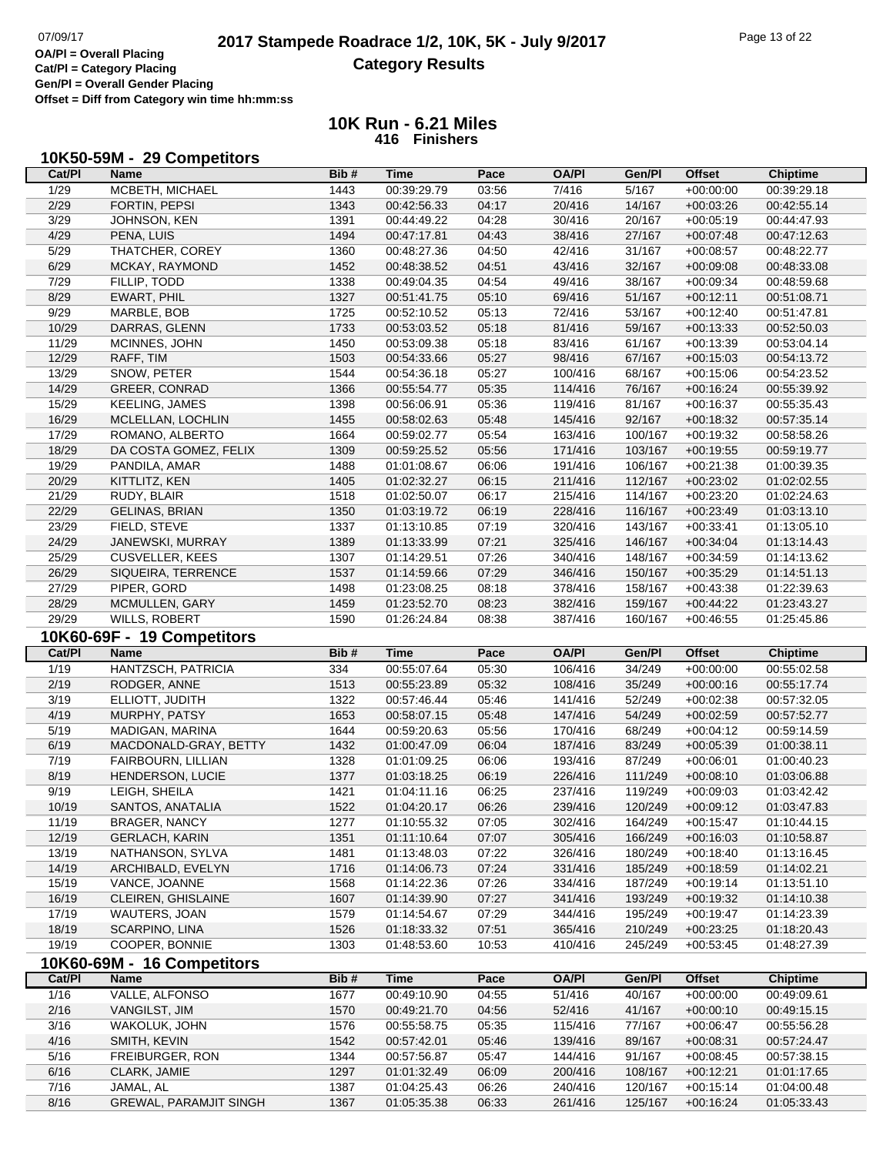# **2017 Stampede Roadrace 1/2, 10K, 5K - July 9/2017** Page 13 of 22<br> **2017 Stampede Roadrace 1/2, 10K, 5K - July 9/2017 Category Results**

**Cat/Pl = Category Placing Gen/Pl = Overall Gender Placing Offset = Diff from Category win time hh:mm:ss**

| 10K50-59M - 29 Competitors |
|----------------------------|
|----------------------------|

| Cat/PI         | <b>Name</b>                | Bib#         | <b>Time</b> | Pace           | <b>OA/PI</b> | Gen/Pl             | <b>Offset</b> | <b>Chiptime</b> |
|----------------|----------------------------|--------------|-------------|----------------|--------------|--------------------|---------------|-----------------|
| 1/29           | MCBETH, MICHAEL            | 1443         | 00:39:29.79 | 03:56          | 7/416        | 5/167              | $+00:00:00$   | 00:39:29.18     |
| 2/29           | FORTIN, PEPSI              | 1343         | 00:42:56.33 | 04:17          | 20/416       | 14/167             | $+00:03:26$   | 00:42:55.14     |
| 3/29           | <b>JOHNSON, KEN</b>        | 1391         | 00:44:49.22 | 04:28          | 30/416       | 20/167             | $+00:05:19$   | 00:44:47.93     |
| 4/29           | PENA, LUIS                 | 1494         | 00:47:17.81 | 04:43          | 38/416       | 27/167             | $+00:07:48$   | 00:47:12.63     |
| 5/29           | THATCHER, COREY            | 1360         | 00:48:27.36 | 04:50          | 42/416       | 31/167             | $+00:08:57$   | 00:48:22.77     |
| 6/29           | MCKAY, RAYMOND             | 1452         | 00:48:38.52 | 04:51          | 43/416       | 32/167             | $+00:09:08$   | 00:48:33.08     |
| 7/29           | FILLIP, TODD               | 1338         | 00:49:04.35 | 04:54          | 49/416       | 38/167             | $+00:09:34$   | 00:48:59.68     |
| 8/29           | EWART, PHIL                | 1327         | 00:51:41.75 | 05:10          | 69/416       | 51/167             | $+00:12:11$   | 00:51:08.71     |
| 9/29           | MARBLE, BOB                | 1725         | 00:52:10.52 | 05:13          | 72/416       | 53/167             | $+00:12:40$   | 00:51:47.81     |
| 10/29          | DARRAS, GLENN              | 1733         | 00:53:03.52 | 05:18          | 81/416       | 59/167             | $+00:13:33$   | 00:52:50.03     |
| 11/29          | MCINNES, JOHN              | 1450         | 00:53:09.38 | 05:18          | 83/416       | 61/167             | $+00:13:39$   | 00:53:04.14     |
| 12/29          | RAFF, TIM                  | 1503         | 00:54:33.66 | 05:27          | 98/416       | 67/167             | $+00:15:03$   | 00:54:13.72     |
| 13/29          | SNOW, PETER                | 1544         | 00:54:36.18 | 05:27          | 100/416      | 68/167             | $+00:15:06$   | 00:54:23.52     |
| 14/29          | GREER, CONRAD              | 1366         | 00:55:54.77 | 05:35          | 114/416      | 76/167             | $+00:16:24$   | 00:55:39.92     |
| 15/29          | <b>KEELING, JAMES</b>      | 1398         | 00:56:06.91 | 05:36          | 119/416      | 81/167             | $+00:16:37$   | 00:55:35.43     |
| 16/29          | MCLELLAN, LOCHLIN          | 1455         | 00:58:02.63 | 05:48          | 145/416      | 92/167             | $+00:18:32$   | 00:57:35.14     |
| 17/29          | ROMANO, ALBERTO            | 1664         | 00:59:02.77 | 05:54          | 163/416      | 100/167            | $+00:19:32$   | 00:58:58.26     |
| 18/29          | DA COSTA GOMEZ, FELIX      | 1309         | 00:59:25.52 | 05:56          | 171/416      | 103/167            | $+00:19:55$   | 00:59:19.77     |
| 19/29          | PANDILA, AMAR              | 1488         | 01:01:08.67 | 06:06          | 191/416      | 106/167            | $+00:21:38$   | 01:00:39.35     |
| 20/29          | KITTLITZ, KEN              | 1405         | 01:02:32.27 | 06:15          | 211/416      | 112/167            | $+00:23:02$   | 01:02:02.55     |
| 21/29          | RUDY, BLAIR                | 1518         | 01:02:50.07 | 06:17          | 215/416      | 114/167            | $+00:23:20$   | 01:02:24.63     |
| 22/29          | <b>GELINAS, BRIAN</b>      | 1350         | 01:03:19.72 | 06:19          | 228/416      | 116/167            | $+00:23:49$   | 01:03:13.10     |
| 23/29          | FIELD, STEVE               | 1337         | 01:13:10.85 | 07:19          | 320/416      | 143/167            | $+00:33:41$   | 01:13:05.10     |
| 24/29          | JANEWSKI, MURRAY           | 1389         | 01:13:33.99 | 07:21          | 325/416      | 146/167            | $+00:34:04$   | 01:13:14.43     |
| 25/29          |                            |              | 01:14:29.51 |                |              |                    |               |                 |
| 26/29          | <b>CUSVELLER, KEES</b>     | 1307         |             | 07:26<br>07:29 | 340/416      | 148/167<br>150/167 | $+00:34:59$   | 01:14:13.62     |
|                | SIQUEIRA, TERRENCE         | 1537         | 01:14:59.66 |                | 346/416      |                    | $+00:35:29$   | 01:14:51.13     |
| 27/29          | PIPER, GORD                | 1498         | 01:23:08.25 | 08:18          | 378/416      | 158/167            | $+00:43:38$   | 01:22:39.63     |
| 28/29<br>29/29 | MCMULLEN, GARY             | 1459<br>1590 | 01:23:52.70 | 08:23          | 382/416      | 159/167            | $+00:44:22$   | 01:23:43.27     |
|                | <b>WILLS, ROBERT</b>       |              | 01:26:24.84 | 08:38          | 387/416      | 160/167            | $+00:46:55$   | 01:25:45.86     |
|                |                            |              |             |                |              |                    |               |                 |
|                | 10K60-69F - 19 Competitors |              |             |                |              |                    |               |                 |
| Cat/PI         | <b>Name</b>                | Bib#         | <b>Time</b> | Pace           | <b>OA/PI</b> | Gen/Pl             | <b>Offset</b> | <b>Chiptime</b> |
| 1/19           | HANTZSCH, PATRICIA         | 334          | 00:55:07.64 | 05:30          | 106/416      | 34/249             | $+00:00:00$   | 00:55:02.58     |
| 2/19           | RODGER, ANNE               | 1513         | 00:55:23.89 | 05:32          | 108/416      | 35/249             | $+00:00:16$   | 00:55:17.74     |
| 3/19           | ELLIOTT, JUDITH            | 1322         | 00:57:46.44 | 05:46          | 141/416      | 52/249             | $+00:02:38$   | 00:57:32.05     |
| 4/19           | MURPHY, PATSY              | 1653         | 00:58:07.15 | 05:48          | 147/416      | 54/249             | $+00:02:59$   | 00:57:52.77     |
| 5/19           | MADIGAN, MARINA            | 1644         | 00:59:20.63 | 05:56          | 170/416      | 68/249             | $+00:04:12$   | 00:59:14.59     |
| 6/19           | MACDONALD-GRAY, BETTY      | 1432         | 01:00:47.09 | 06:04          | 187/416      | 83/249             | $+00:05:39$   | 01:00:38.11     |
| 7/19           | FAIRBOURN, LILLIAN         | 1328         | 01:01:09.25 | 06:06          | 193/416      | 87/249             | $+00:06:01$   | 01:00:40.23     |
| 8/19           | HENDERSON, LUCIE           | 1377         | 01:03:18.25 | 06:19          | 226/416      | 111/249            | $+00:08:10$   | 01:03:06.88     |
| 9/19           | LEIGH, SHEILA              | 1421         | 01:04:11.16 | 06:25          | 237/416      | 119/249            | $+00:09:03$   | 01:03:42.42     |
| 10/19          | SANTOS, ANATALIA           | 1522         | 01:04:20.17 | 06:26          | 239/416      | 120/249            | $+00:09:12$   | 01:03:47.83     |
| 11/19          | BRAGER, NANCY              | 1277         | 01:10:55.32 | 07:05          | 302/416      | 164/249            | $+00:15:47$   | 01:10:44.15     |
| 12/19          | <b>GERLACH, KARIN</b>      | 1351         | 01:11:10.64 | 07:07          | 305/416      | 166/249            | $+00:16:03$   | 01:10:58.87     |
| 13/19          | NATHANSON, SYLVA           | 1481         | 01:13:48.03 | 07:22          | 326/416      | 180/249            | $+00:18:40$   | 01:13:16.45     |
| 14/19          | ARCHIBALD, EVELYN          | 1716         | 01:14:06.73 | 07:24          | 331/416      | 185/249            | $+00:18:59$   | 01:14:02.21     |
| 15/19          | VANCE, JOANNE              | 1568         | 01:14:22.36 | 07:26          | 334/416      | 187/249            | $+00:19:14$   | 01:13:51.10     |
| 16/19          | CLEIREN, GHISLAINE         | 1607         | 01:14:39.90 | 07:27          | 341/416      | 193/249            | $+00:19:32$   | 01:14:10.38     |
| 17/19          | WAUTERS, JOAN              | 1579         | 01:14:54.67 | 07:29          | 344/416      | 195/249            | $+00:19:47$   | 01:14:23.39     |
| 18/19          | SCARPINO, LINA             | 1526         | 01:18:33.32 | 07:51          | 365/416      | 210/249            | $+00:23:25$   | 01:18:20.43     |
| 19/19          | COOPER, BONNIE             | 1303         | 01:48:53.60 | 10:53          | 410/416      | 245/249            | $+00:53:45$   | 01:48:27.39     |
|                | 10K60-69M - 16 Competitors |              |             |                |              |                    |               |                 |
| Cat/PI         | <b>Name</b>                | Bib#         | <b>Time</b> | Pace           | <b>OA/PI</b> | Gen/Pl             | <b>Offset</b> | <b>Chiptime</b> |
| 1/16           | VALLE, ALFONSO             | 1677         | 00:49:10.90 | 04:55          | 51/416       | 40/167             | $+00:00:00$   | 00:49:09.61     |
| 2/16           | VANGILST, JIM              | 1570         | 00:49:21.70 | 04:56          | 52/416       | 41/167             | $+00:00:10$   | 00:49:15.15     |
| 3/16           | WAKOLUK, JOHN              | 1576         | 00:55:58.75 | 05:35          | 115/416      | 77/167             | $+00:06:47$   | 00:55:56.28     |
| 4/16           | SMITH, KEVIN               | 1542         | 00:57:42.01 | 05:46          | 139/416      | 89/167             | $+00:08:31$   | 00:57:24.47     |
| 5/16           | FREIBURGER, RON            | 1344         | 00:57:56.87 | 05:47          | 144/416      | 91/167             | $+00:08:45$   | 00:57:38.15     |
| 6/16           | CLARK, JAMIE               | 1297         | 01:01:32.49 | 06:09          | 200/416      | 108/167            | $+00:12:21$   | 01:01:17.65     |
| 7/16           | JAMAL, AL                  | 1387         | 01:04:25.43 | 06:26          | 240/416      | 120/167            | $+00:15:14$   | 01:04:00.48     |